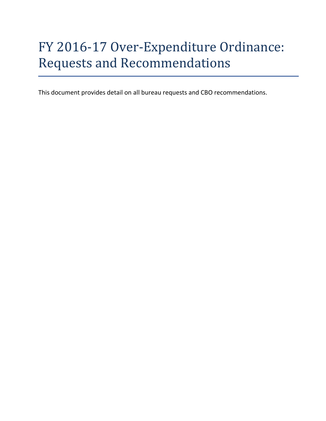# FY 2016-17 Over-Expenditure Ordinance: Requests and Recommendations

This document provides detail on all bureau requests and CBO recommendations.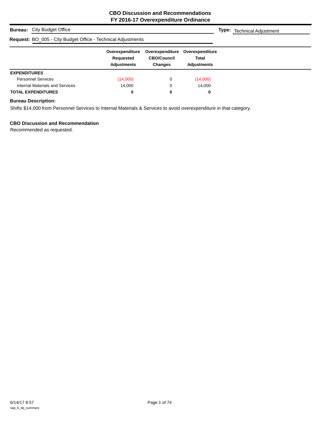## **Bureau:** City Budget Office

#### **Request: BC**

|                     | <b>Bureau:</b> City Budget Office                                   |                                             |                                                         |                                                       | <b>Type:</b> Technical Adjustment |
|---------------------|---------------------------------------------------------------------|---------------------------------------------|---------------------------------------------------------|-------------------------------------------------------|-----------------------------------|
|                     | <b>Request: BO_005 - City Budget Office - Technical Adjustments</b> |                                             |                                                         |                                                       |                                   |
|                     |                                                                     | Overexpenditure<br>Requested<br>Adjustments | Overexpenditure<br><b>CBO/Council</b><br><b>Changes</b> | Overexpenditure<br><b>Total</b><br><b>Adjustments</b> |                                   |
| <b>EXPENDITURES</b> |                                                                     |                                             |                                                         |                                                       |                                   |
|                     | <b>Personnel Services</b>                                           | (14,000)                                    |                                                         | (14,000)                                              |                                   |

## **Bureau Description:**

Shifts \$14,000 from Personnel Services to Internal Materials & Services to avoid overexpenditure in that category.

Internal Materials and Services 14,000 0 14,000 **TOTAL EXPENDITURES 0 0 0**

## **CBO Discussion and Recommendation**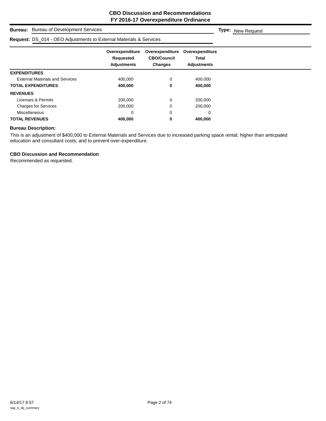**Type:** New Request

## **Bureau:** Bureau of Development Services

## **Request:** DS, 014 - OEO Adjustments to External Materials & Services

|                                        | Overexpenditure    | Overexpenditure    | Overexpenditure    |
|----------------------------------------|--------------------|--------------------|--------------------|
|                                        | Requested          | <b>CBO/Council</b> | Total              |
|                                        | <b>Adjustments</b> | <b>Changes</b>     | <b>Adjustments</b> |
| <b>EXPENDITURES</b>                    |                    |                    |                    |
| <b>External Materials and Services</b> | 400,000            | 0                  | 400.000            |
| <b>TOTAL EXPENDITURES</b>              | 400,000            | 0                  | 400,000            |
| <b>REVENUES</b>                        |                    |                    |                    |
| Licenses & Permits                     | 200,000            | 0                  | 200,000            |
| <b>Charges for Services</b>            | 200,000            | 0                  | 200,000            |
| Miscellaneous                          | 0                  | 0                  | 0                  |
| <b>TOTAL REVENUES</b>                  | 400,000            | 0                  | 400,000            |

## **Bureau Description:**

This is an adjustment of \$400,000 to External Materials and Services due to increased parking space rental; higher than anticpated education and consultant costs; and to prevent over-expenditure.

#### **CBO Discussion and Recommendation**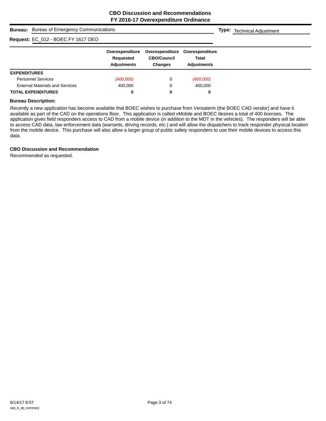**Type:** Technical Adjustment

| <b>Bureau:</b> Bureau of Emergency Communications |
|---------------------------------------------------|
|                                                   |

## **Request:** EC\_012 - BOEC FY 1617 OEO

| NGUUGSI. LO_VIZ - DOLOTTI IVIT OLO     |                              |                                       |                                 |
|----------------------------------------|------------------------------|---------------------------------------|---------------------------------|
|                                        | Overexpenditure<br>Requested | Overexpenditure<br><b>CBO/Council</b> | Overexpenditure<br><b>Total</b> |
|                                        | <b>Adjustments</b>           | <b>Changes</b>                        | <b>Adjustments</b>              |
| <b>EXPENDITURES</b>                    |                              |                                       |                                 |
| <b>Personnel Services</b>              | (400,000)                    |                                       | (400,000)                       |
| <b>External Materials and Services</b> | 400,000                      |                                       | 400,000                         |
| <b>TOTAL EXPENDITURES</b>              | 0                            |                                       | 0                               |

## **Bureau Description:**

Recently a new application has become available that BOEC wishes to purchase from Versaterm (the BOEC CAD vendor) and have it available as part of the CAD on the operations floor. This application is called vMobile and BOEC desires a total of 400 licenses. The application gives field responders access to CAD from a mobile device (in addition to the MDT in the vehicles). The responders will be able to access CAD data, law enforcement data (warrants, driving records, etc.) and will allow the dispatchers to track responder physical location from the mobile device. This purchase will also allow a larger group of public safety responders to use their mobile devices to access this data.

## **CBO Discussion and Recommendation**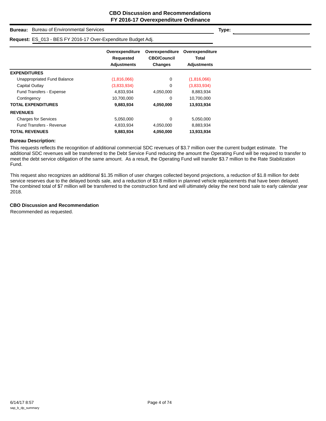| <b>Bureau of Environmental Services</b><br><b>Bureau:</b>     |                                                    | Type:                                            |                                                |  |
|---------------------------------------------------------------|----------------------------------------------------|--------------------------------------------------|------------------------------------------------|--|
| Request: ES_013 - BES FY 2016-17 Over-Expenditure Budget Adj. |                                                    |                                                  |                                                |  |
|                                                               | Overexpenditure<br>Requested<br><b>Adjustments</b> | Overexpenditure<br><b>CBO/Council</b><br>Changes | Overexpenditure<br>Total<br><b>Adjustments</b> |  |
| <b>EXPENDITURES</b>                                           |                                                    |                                                  |                                                |  |
| Unappropriated Fund Balance                                   | (1,816,066)                                        | 0                                                | (1,816,066)                                    |  |
| Capital Outlay                                                | (3,833,934)                                        | 0                                                | (3,833,934)                                    |  |
| Fund Transfers - Expense                                      | 4,833,934                                          | 4,050,000                                        | 8,883,934                                      |  |
| Contingency                                                   | 10,700,000                                         | 0                                                | 10,700,000                                     |  |
| <b>TOTAL EXPENDITURES</b>                                     | 9,883,934                                          | 4,050,000                                        | 13,933,934                                     |  |
| <b>REVENUES</b>                                               |                                                    |                                                  |                                                |  |
| <b>Charges for Services</b>                                   | 5,050,000                                          | $\mathbf 0$                                      | 5,050,000                                      |  |
| <b>Fund Transfers - Revenue</b>                               | 4,833,934                                          | 4,050,000                                        | 8,883,934                                      |  |
| <b>TOTAL REVENUES</b>                                         | 9,883,934                                          | 4,050,000                                        | 13,933,934                                     |  |

This requests reflects the recognition of additional commercial SDC revenues of \$3.7 million over the current budget estimate. The additional SDC revenues will be transferred to the Debt Service Fund reducing the amount the Operating Fund will be required to transfer to meet the debt service obligation of the same amount. As a result, the Operating Fund will transfer \$3.7 million to the Rate Stabilization Fund.

This request also recognizes an additional \$1.35 million of user charges collected beyond projections, a reduction of \$1.8 million for debt service reserves due to the delayed bonds sale, and a reduction of \$3.8 million in planned vehicle replacements that have been delayed. The combined total of \$7 million will be transferred to the construction fund and will ultimately delay the next bond sale to early calendar year 2018.

## **CBO Discussion and Recommendation**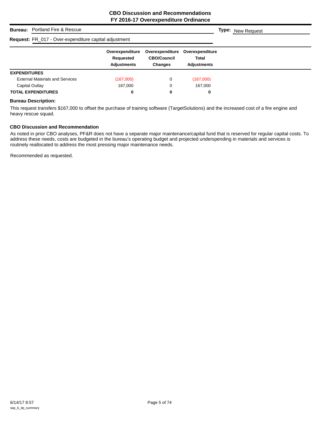## **Bureau:** Portland Fire & Rescue **Overexpenditure Overexpenditure Overexpenditure Requested CBO/Council Total Adjustments Changes Adjustments Type:** New Request **Request:** FR\_017 - Over-expenditure capital adjustment **EXPENDITURES** External Materials and Services (167,000) 0 (167,000) Capital Outlay **167,000** 167,000 0 167,000 **TOTAL EXPENDITURES 0 0 0**

## **Bureau Description:**

This request transfers \$167,000 to offset the purchase of training software (TargetSolutions) and the increased cost of a fire engine and heavy rescue squad.

## **CBO Discussion and Recommendation**

As noted in prior CBO analyses, PF&R does not have a separate major maintenance/capital fund that is reserved for regular capital costs. To address these needs, costs are budgeted in the bureau's operating budget and projected underspending in materials and services is routinely reallocated to address the most pressing major maintenance needs.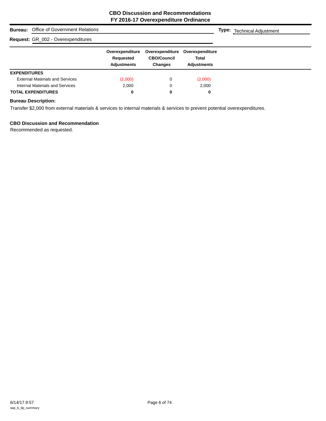|                     | <b>Bureau:</b> Office of Government Relations |                                                    |                                                         |                                                       | <b>Type:</b> Technical Adjustment |
|---------------------|-----------------------------------------------|----------------------------------------------------|---------------------------------------------------------|-------------------------------------------------------|-----------------------------------|
|                     | Request: GR_002 - Overexpenditures            |                                                    |                                                         |                                                       |                                   |
|                     |                                               | Overexpenditure<br>Requested<br><b>Adjustments</b> | Overexpenditure<br><b>CBO/Council</b><br><b>Changes</b> | Overexpenditure<br><b>Total</b><br><b>Adiustments</b> |                                   |
| <b>EXPENDITURES</b> |                                               |                                                    |                                                         |                                                       |                                   |
|                     | <b>External Materials and Services</b>        | (2,000)                                            | 0                                                       | (2,000)                                               |                                   |
|                     | Internal Materials and Services               | 2.000                                              | 0                                                       | 2,000                                                 |                                   |
|                     | <b>TOTAL EXPENDITURES</b>                     | 0                                                  | 0                                                       | 0                                                     |                                   |

Transfer \$2,000 from external materials & services to internal materials & services to prevent potential overexpenditures.

## **CBO Discussion and Recommendation**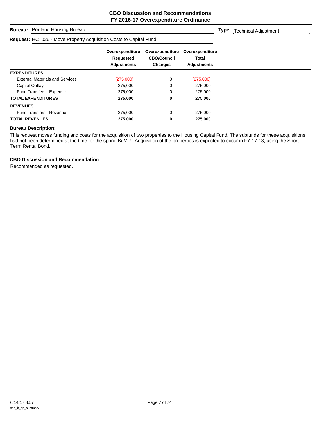## **Bureau:** Portland Housing Bureau

## **Request:** HC\_026 - Move Property Acquisition Costs to Capital Fund

**Type:** Technical Adjustment

|                                        | Overexpenditure<br>Requested<br><b>Adjustments</b> | Overexpenditure<br><b>CBO/Council</b><br><b>Changes</b> | Overexpenditure<br>Total<br><b>Adjustments</b> |  |
|----------------------------------------|----------------------------------------------------|---------------------------------------------------------|------------------------------------------------|--|
| <b>EXPENDITURES</b>                    |                                                    |                                                         |                                                |  |
| <b>External Materials and Services</b> | (275,000)                                          | 0                                                       | (275,000)                                      |  |
| Capital Outlay                         | 275,000                                            | 0                                                       | 275,000                                        |  |
| <b>Fund Transfers - Expense</b>        | 275,000                                            | 0                                                       | 275,000                                        |  |
| <b>TOTAL EXPENDITURES</b>              | 275,000                                            | 0                                                       | 275,000                                        |  |
| <b>REVENUES</b>                        |                                                    |                                                         |                                                |  |
| <b>Fund Transfers - Revenue</b>        | 275,000                                            | 0                                                       | 275,000                                        |  |
| <b>TOTAL REVENUES</b>                  | 275,000                                            | 0                                                       | 275,000                                        |  |

#### **Bureau Description:**

This request moves funding and costs for the acquisition of two properties to the Housing Capital Fund. The subfunds for these acquisitions had not been determined at the time for the spring BuMP. Acquisition of the properties is expected to occur in FY 17-18, using the Short Term Rental Bond.

## **CBO Discussion and Recommendation**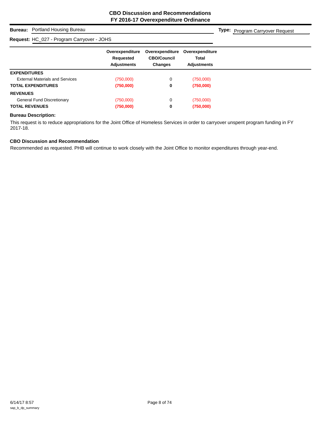## **Bureau:** Portland Housing Bureau

## **Request:** HC\_027 - Program Carryover - JOHS

**Type:** Program Carryover Request

|                                        | Overexpenditure<br>Requested<br><b>Adjustments</b> | Overexpenditure<br><b>CBO/Council</b><br><b>Changes</b> | Overexpenditure<br>Total<br><b>Adjustments</b> |
|----------------------------------------|----------------------------------------------------|---------------------------------------------------------|------------------------------------------------|
| <b>EXPENDITURES</b>                    |                                                    |                                                         |                                                |
| <b>External Materials and Services</b> | (750,000)                                          | 0                                                       | (750,000)                                      |
| <b>TOTAL EXPENDITURES</b>              | (750,000)                                          | 0                                                       | (750,000)                                      |
| <b>REVENUES</b>                        |                                                    |                                                         |                                                |
| General Fund Discretionary             | (750,000)                                          | 0                                                       | (750,000)                                      |
| <b>TOTAL REVENUES</b>                  | (750,000)                                          | 0                                                       | (750,000)                                      |

## **Bureau Description:**

This request is to reduce appropriations for the Joint Office of Homeless Services in order to carryover unspent program funding in FY 2017-18.

## **CBO Discussion and Recommendation**

Recommended as requested. PHB will continue to work closely with the Joint Office to monitor expenditures through year-end.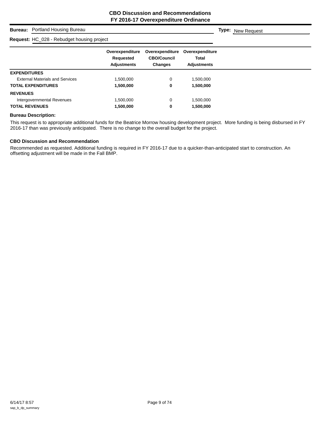**Type:** New Request

## **Bureau:** Portland Housing Bureau

## **Request:** HC\_028 - Rebudget housing project

|                                        | Overexpenditure<br>Requested<br><b>Adjustments</b> | Overexpenditure<br><b>CBO/Council</b><br><b>Changes</b> | Overexpenditure<br><b>Total</b><br><b>Adjustments</b> |
|----------------------------------------|----------------------------------------------------|---------------------------------------------------------|-------------------------------------------------------|
| <b>EXPENDITURES</b>                    |                                                    |                                                         |                                                       |
| <b>External Materials and Services</b> | .500,000                                           | 0                                                       | 1,500,000                                             |
| <b>TOTAL EXPENDITURES</b>              | 1,500,000                                          | 0                                                       | 1,500,000                                             |
| <b>REVENUES</b>                        |                                                    |                                                         |                                                       |
| Intergovernmental Revenues             | ,500,000                                           | 0                                                       | 1,500,000                                             |
| <b>TOTAL REVENUES</b>                  | 1,500,000                                          | 0                                                       | 1,500,000                                             |

## **Bureau Description:**

This request is to appropriate additional funds for the Beatrice Morrow housing development project. More funding is being disbursed in FY 2016-17 than was previously anticipated. There is no change to the overall budget for the project.

## **CBO Discussion and Recommendation**

Recommended as requested. Additional funding is required in FY 2016-17 due to a quicker-than-anticipated start to construction. An offsetting adjustment will be made in the Fall BMP.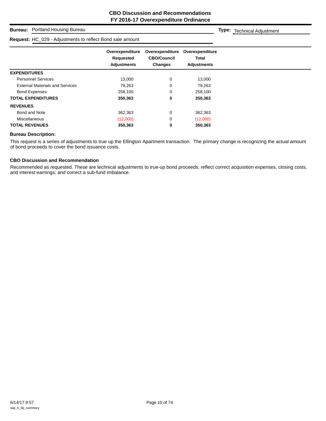## **Bureau:** Portland Housing Bureau

#### **Request:** HC\_029 - Adjustments to reflect Bond sale amount

**Type:** Technical Adjustment

|                                        | Overexpenditure<br>Requested<br><b>Adjustments</b> | Overexpenditure<br><b>CBO/Council</b><br><b>Changes</b> | Overexpenditure<br><b>Total</b><br><b>Adjustments</b> |
|----------------------------------------|----------------------------------------------------|---------------------------------------------------------|-------------------------------------------------------|
| <b>EXPENDITURES</b>                    |                                                    |                                                         |                                                       |
| <b>Personnel Services</b>              | 13,000                                             | 0                                                       | 13,000                                                |
| <b>External Materials and Services</b> | 79,263                                             | 0                                                       | 79,263                                                |
| <b>Bond Expenses</b>                   | 258,100                                            | 0                                                       | 258,100                                               |
| <b>TOTAL EXPENDITURES</b>              | 350,363                                            | 0                                                       | 350,363                                               |
| <b>REVENUES</b>                        |                                                    |                                                         |                                                       |
| Bond and Note                          | 362,363                                            | 0                                                       | 362,363                                               |
| <b>Miscellaneous</b>                   | (12,000)                                           | 0                                                       | (12,000)                                              |
| <b>TOTAL REVENUES</b>                  | 350,363                                            | 0                                                       | 350,363                                               |

## **Bureau Description:**

This request is a series of adjustments to true up the Ellington Apartment transaction. The primary change is recognizing the actual amount of bond proceeds to cover the bond issuance costs.

## **CBO Discussion and Recommendation**

Recommended as requested. These are technical adjustments to true-up bond proceeds; reflect correct acquisition expenses, closing costs, and interest earnings; and correct a sub-fund imbalance.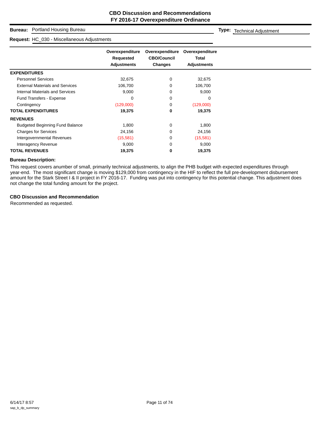## **Bureau:** Portland Housing Bureau

#### **Request:** HC\_030 - Miscellaneous Adjustments

**Type:** Technical Adjustment

|                                        | Overexpenditure<br>Requested<br><b>Adjustments</b> | Overexpenditure<br><b>CBO/Council</b><br><b>Changes</b> | Overexpenditure<br><b>Total</b><br><b>Adjustments</b> |
|----------------------------------------|----------------------------------------------------|---------------------------------------------------------|-------------------------------------------------------|
| <b>EXPENDITURES</b>                    |                                                    |                                                         |                                                       |
| <b>Personnel Services</b>              | 32,675                                             | 0                                                       | 32,675                                                |
| <b>External Materials and Services</b> | 106,700                                            | 0                                                       | 106,700                                               |
| Internal Materials and Services        | 9,000                                              | 0                                                       | 9,000                                                 |
| Fund Transfers - Expense               | 0                                                  | 0                                                       | 0                                                     |
| Contingency                            | (129,000)                                          | 0                                                       | (129,000)                                             |
| <b>TOTAL EXPENDITURES</b>              | 19,375                                             | 0                                                       | 19,375                                                |
| <b>REVENUES</b>                        |                                                    |                                                         |                                                       |
| <b>Budgeted Beginning Fund Balance</b> | 1,800                                              | 0                                                       | 1,800                                                 |
| <b>Charges for Services</b>            | 24,156                                             | 0                                                       | 24,156                                                |
| Intergovernmental Revenues             | (15,581)                                           | 0                                                       | (15,581)                                              |
| Interagency Revenue                    | 9,000                                              | 0                                                       | 9,000                                                 |
| <b>TOTAL REVENUES</b>                  | 19,375                                             | 0                                                       | 19,375                                                |

#### **Bureau Description:**

This request covers anumber of small, primarily technical adjustments, to align the PHB budget with expected expenditures through year-end. The most significant change is moving \$129,000 from contingency in the HIF to reflect the full pre-development disbursement amount for the Stark Street I & II project in FY 2016-17. Funding was put into contingency for this potential change. This adjustment does not change the total funding amount for the project.

## **CBO Discussion and Recommendation**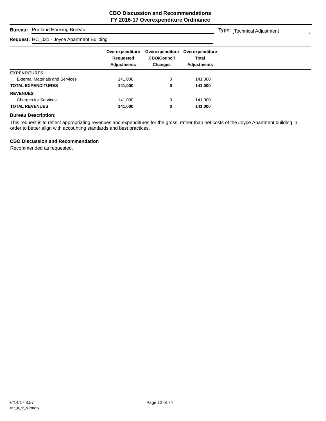**Type:** Technical Adjustment

## **Bureau:** Portland Housing Bureau

## **Request:** HC\_031 - Joyce Apartment Building

| R <b>equest:</b> HC_031 - Joyce Apartment Building |                                                    |                                                         |                                                |  |
|----------------------------------------------------|----------------------------------------------------|---------------------------------------------------------|------------------------------------------------|--|
|                                                    | Overexpenditure<br>Requested<br><b>Adjustments</b> | Overexpenditure<br><b>CBO/Council</b><br><b>Changes</b> | Overexpenditure<br>Total<br><b>Adjustments</b> |  |
| <b>EXPENDITURES</b>                                |                                                    |                                                         |                                                |  |
| <b>External Materials and Services</b>             | 141,000                                            | $\Omega$                                                | 141,000                                        |  |
| <b>TOTAL EXPENDITURES</b>                          | 141,000                                            | 0                                                       | 141,000                                        |  |
| <b>REVENUES</b>                                    |                                                    |                                                         |                                                |  |
| <b>Charges for Services</b>                        | 141,000                                            | 0                                                       | 141,000                                        |  |
| <b>TOTAL REVENUES</b>                              | 141,000                                            | 0                                                       | 141,000                                        |  |

### **Bureau Description:**

This request is to reflect appropriating revenues and expenditures for the gross, rather than net costs of the Joyce Apartment building in order to better align with accounting standards and best practices.

## **CBO Discussion and Recommendation**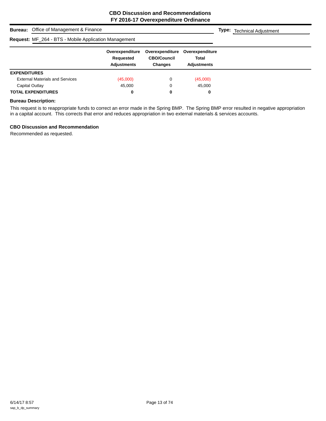|                                                              | <b>Bureau:</b> Office of Management & Finance |                                                    |                                                         |                                                       |  | <b>Type:</b> Technical Adjustment |  |  |
|--------------------------------------------------------------|-----------------------------------------------|----------------------------------------------------|---------------------------------------------------------|-------------------------------------------------------|--|-----------------------------------|--|--|
| <b>Request: MF_264 - BTS - Mobile Application Management</b> |                                               |                                                    |                                                         |                                                       |  |                                   |  |  |
|                                                              |                                               | Overexpenditure<br>Requested<br><b>Adjustments</b> | Overexpenditure<br><b>CBO/Council</b><br><b>Changes</b> | Overexpenditure<br><b>Total</b><br><b>Adjustments</b> |  |                                   |  |  |
| <b>EXPENDITURES</b>                                          |                                               |                                                    |                                                         |                                                       |  |                                   |  |  |
|                                                              | <b>External Materials and Services</b>        | (45,000)                                           | 0                                                       | (45,000)                                              |  |                                   |  |  |
| Capital Outlay                                               |                                               | 45,000                                             | 0                                                       | 45,000                                                |  |                                   |  |  |
|                                                              | <b>TOTAL EXPENDITURES</b>                     | 0                                                  | 0                                                       | 0                                                     |  |                                   |  |  |

This request is to reappropriate funds to correct an error made in the Spring BMP. The Spring BMP error resulted in negative appropriation in a capital account. This corrects that error and reduces appropriation in two external materials & services accounts.

## **CBO Discussion and Recommendation**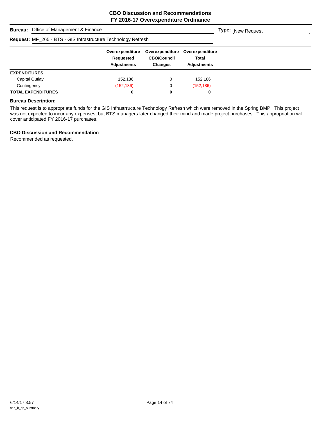|                     | <b>Bureau:</b> Office of Management & Finance                        | <b>Type:</b> New Request                           |                                                         |                                                |  |
|---------------------|----------------------------------------------------------------------|----------------------------------------------------|---------------------------------------------------------|------------------------------------------------|--|
|                     | <b>Request: MF_265 - BTS - GIS Infrastructure Technology Refresh</b> |                                                    |                                                         |                                                |  |
|                     |                                                                      | Overexpenditure<br>Requested<br><b>Adjustments</b> | Overexpenditure<br><b>CBO/Council</b><br><b>Changes</b> | Overexpenditure<br>Total<br><b>Adjustments</b> |  |
| <b>EXPENDITURES</b> |                                                                      |                                                    |                                                         |                                                |  |
| Capital Outlay      |                                                                      | 152.186                                            | 0                                                       | 152,186                                        |  |
| Contingency         |                                                                      | (152, 186)                                         | 0                                                       | (152, 186)                                     |  |
|                     | <b>TOTAL EXPENDITURES</b>                                            | 0                                                  | 0                                                       | 0                                              |  |

This request is to appropriate funds for the GIS Infrastrructure Technology Refresh which were removed in the Spring BMP. This project was not expected to incur any expenses, but BTS managers later changed their mind and made project purchases. This appropriation wil cover anticipated FY 2016-17 purchases.

## **CBO Discussion and Recommendation**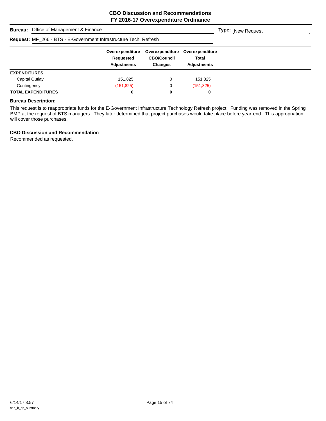| <b>Bureau:</b> Office of Management & Finance                            |                                                    |                                                         | <b>Type:</b> New Request                       |  |  |  |  |  |  |
|--------------------------------------------------------------------------|----------------------------------------------------|---------------------------------------------------------|------------------------------------------------|--|--|--|--|--|--|
| <b>Request:</b> MF_266 - BTS - E-Government Infrastructure Tech. Refresh |                                                    |                                                         |                                                |  |  |  |  |  |  |
|                                                                          | Overexpenditure<br>Requested<br><b>Adjustments</b> | Overexpenditure<br><b>CBO/Council</b><br><b>Changes</b> | Overexpenditure<br>Total<br><b>Adjustments</b> |  |  |  |  |  |  |
| <b>EXPENDITURES</b>                                                      |                                                    |                                                         |                                                |  |  |  |  |  |  |
| Capital Outlay                                                           | 151.825                                            | 0                                                       | 151.825                                        |  |  |  |  |  |  |
| Contingency                                                              | (151, 825)                                         | 0                                                       | (151, 825)                                     |  |  |  |  |  |  |
| <b>TOTAL EXPENDITURES</b>                                                | 0                                                  | 0                                                       | 0                                              |  |  |  |  |  |  |

This request is to reappropriate funds for the E-Government Infrastructure Technology Refresh project. Funding was removed in the Spring BMP at the request of BTS managers. They later determined that project purchases would take place before year-end. This appropriation will cover those purchases.

## **CBO Discussion and Recommendation**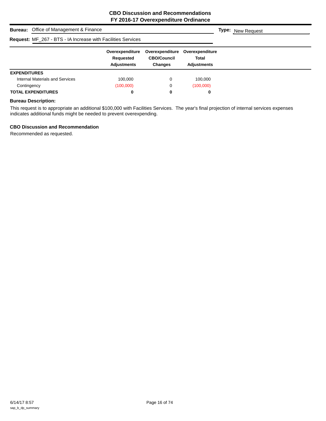| <b>Bureau:</b> Office of Management & Finance                | <b>Type:</b> New Request                           |                                                         |                                                |  |  |  |  |
|--------------------------------------------------------------|----------------------------------------------------|---------------------------------------------------------|------------------------------------------------|--|--|--|--|
| Request: MF_267 - BTS - IA Increase with Facilities Services |                                                    |                                                         |                                                |  |  |  |  |
|                                                              | Overexpenditure<br>Requested<br><b>Adjustments</b> | Overexpenditure<br><b>CBO/Council</b><br><b>Changes</b> | Overexpenditure<br>Total<br><b>Adjustments</b> |  |  |  |  |
| <b>EXPENDITURES</b>                                          |                                                    |                                                         |                                                |  |  |  |  |
| Internal Materials and Services                              | 100.000                                            | 0                                                       | 100,000                                        |  |  |  |  |
| Contingency                                                  | (100,000)                                          | 0                                                       | (100,000)                                      |  |  |  |  |
| <b>TOTAL EXPENDITURES</b>                                    | 0                                                  | 0                                                       | 0                                              |  |  |  |  |

This request is to appropriate an additional \$100,000 with Facilities Services. The year's final projection of internal services expenses indicates additional funds might be needed to prevent overexpending.

## **CBO Discussion and Recommendation**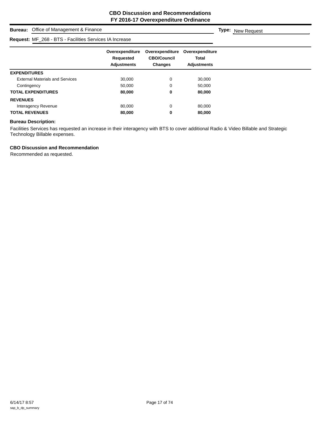## **Bureau:** Office of Management & Finance **Request:** MF\_268 - BTS - Facilities Services IA Increase

**Type:** New Request

|                                        | Overexpenditure    | Overexpenditure    | Overexpenditure    |
|----------------------------------------|--------------------|--------------------|--------------------|
|                                        | Requested          | <b>CBO/Council</b> | <b>Total</b>       |
|                                        | <b>Adjustments</b> | <b>Changes</b>     | <b>Adjustments</b> |
| <b>EXPENDITURES</b>                    |                    |                    |                    |
| <b>External Materials and Services</b> | 30,000             | 0                  | 30,000             |
| Contingency                            | 50,000             | 0                  | 50,000             |
| <b>TOTAL EXPENDITURES</b>              | 80,000             | 0                  | 80,000             |
| <b>REVENUES</b>                        |                    |                    |                    |
| Interagency Revenue                    | 80,000             | 0                  | 80,000             |
| <b>TOTAL REVENUES</b>                  | 80,000             | 0                  | 80,000             |

## **Bureau Description:**

Facilities Services has requested an increase in their interagency with BTS to cover additional Radio & Video Billable and Strategic Technology Billable expenses.

## **CBO Discussion and Recommendation**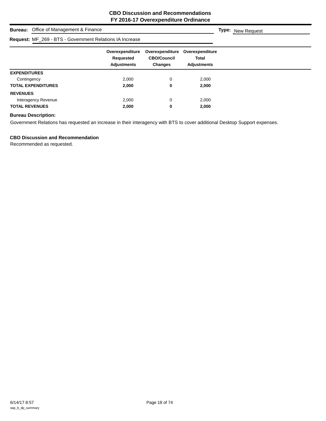**Type:** New Request

## **Bureau:** Office of Management & Finance

| <b>Request: MF_269 - BTS - Government Relations IA Increase</b> |                                                    |                                                         |                                                       |  |  |
|-----------------------------------------------------------------|----------------------------------------------------|---------------------------------------------------------|-------------------------------------------------------|--|--|
|                                                                 | Overexpenditure<br>Requested<br><b>Adjustments</b> | Overexpenditure<br><b>CBO/Council</b><br><b>Changes</b> | Overexpenditure<br><b>Total</b><br><b>Adjustments</b> |  |  |
| <b>EXPENDITURES</b>                                             |                                                    |                                                         |                                                       |  |  |
| Contingency                                                     | 2,000                                              | 0                                                       | 2,000                                                 |  |  |
| <b>TOTAL EXPENDITURES</b>                                       | 2,000                                              | 0                                                       | 2,000                                                 |  |  |
| <b>REVENUES</b>                                                 |                                                    |                                                         |                                                       |  |  |
| Interagency Revenue                                             | 2.000                                              | 0                                                       | 2,000                                                 |  |  |
| <b>TOTAL REVENUES</b>                                           | 2,000                                              | 0                                                       | 2,000                                                 |  |  |

## **Bureau Description:**

Government Relations has requested an increase in their interagency with BTS to cover additional Desktop Support expenses.

## **CBO Discussion and Recommendation**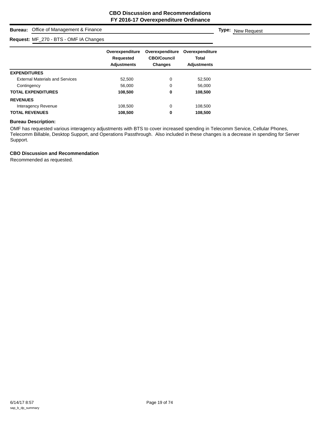**Type:** New Request

## **Bureau:** Office of Management & Finance

## **Request:** MF\_270 - BTS - OMF IA Changes

| Request: $MF_2/0 - B1S - OMF 1A Changes$ |                                                    |                                                         |                                                       |  |
|------------------------------------------|----------------------------------------------------|---------------------------------------------------------|-------------------------------------------------------|--|
|                                          | Overexpenditure<br>Requested<br><b>Adjustments</b> | Overexpenditure<br><b>CBO/Council</b><br><b>Changes</b> | Overexpenditure<br><b>Total</b><br><b>Adjustments</b> |  |
| <b>EXPENDITURES</b>                      |                                                    |                                                         |                                                       |  |
| <b>External Materials and Services</b>   | 52,500                                             | 0                                                       | 52,500                                                |  |
| Contingency                              | 56,000                                             | 0                                                       | 56,000                                                |  |
| <b>TOTAL EXPENDITURES</b>                | 108,500                                            | 0                                                       | 108,500                                               |  |
| <b>REVENUES</b>                          |                                                    |                                                         |                                                       |  |
| Interagency Revenue                      | 108,500                                            | 0                                                       | 108,500                                               |  |
| <b>TOTAL REVENUES</b>                    | 108,500                                            | 0                                                       | 108,500                                               |  |

## **Bureau Description:**

OMF has requested various interagency adjustments with BTS to cover increased spending in Telecomm Service, Cellular Phones, Telecomm Billable, Desktop Support, and Operations Passthrough. Also included in these changes is a decrease in spending for Server Support.

## **CBO Discussion and Recommendation**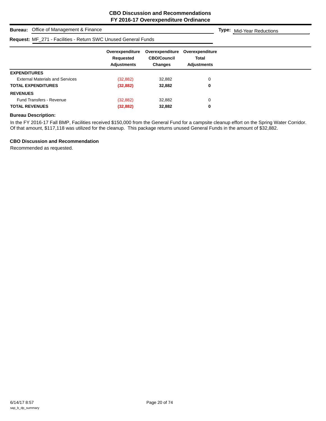**Type:** Mid-Year Reductions

## **Bureau:** Office of Management & Finance

## **Request:** MF\_271 - Facilities - Return SWC Unused General Funds

| R <b>equest:</b> MF_271 - Facilities - Return SWC Unused General Funds |                                                    |                                                         |                                                       |  |
|------------------------------------------------------------------------|----------------------------------------------------|---------------------------------------------------------|-------------------------------------------------------|--|
|                                                                        | Overexpenditure<br>Requested<br><b>Adjustments</b> | Overexpenditure<br><b>CBO/Council</b><br><b>Changes</b> | Overexpenditure<br><b>Total</b><br><b>Adiustments</b> |  |
| <b>EXPENDITURES</b>                                                    |                                                    |                                                         |                                                       |  |
| <b>External Materials and Services</b>                                 | (32, 882)                                          | 32,882                                                  | 0                                                     |  |
| <b>TOTAL EXPENDITURES</b>                                              | (32, 882)                                          | 32.882                                                  | 0                                                     |  |
| <b>REVENUES</b>                                                        |                                                    |                                                         |                                                       |  |
| <b>Fund Transfers - Revenue</b>                                        | (32, 882)                                          | 32.882                                                  | 0                                                     |  |
| <b>TOTAL REVENUES</b>                                                  | (32, 882)                                          | 32,882                                                  | 0                                                     |  |

## **Bureau Description:**

In the FY 2016-17 Fall BMP, Facilities received \$150,000 from the General Fund for a campsite cleanup effort on the Spring Water Corridor. Of that amount, \$117,118 was utilized for the cleanup. This package returns unused General Funds in the amount of \$32,882.

## **CBO Discussion and Recommendation**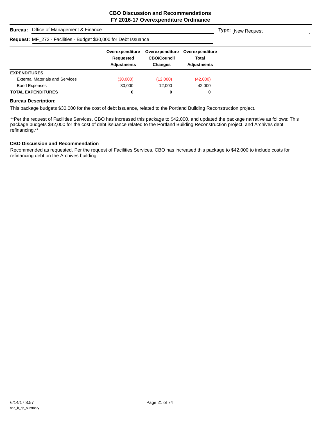| <b>Bureau:</b> Office of Management & Finance                    | <b>Type:</b> New Request                           |                                                         |                                                       |  |
|------------------------------------------------------------------|----------------------------------------------------|---------------------------------------------------------|-------------------------------------------------------|--|
| Request: MF_272 - Facilities - Budget \$30,000 for Debt Issuance |                                                    |                                                         |                                                       |  |
|                                                                  | Overexpenditure<br>Requested<br><b>Adjustments</b> | Overexpenditure<br><b>CBO/Council</b><br><b>Changes</b> | Overexpenditure<br><b>Total</b><br><b>Adiustments</b> |  |
| <b>EXPENDITURES</b>                                              |                                                    |                                                         |                                                       |  |
| <b>External Materials and Services</b>                           | (30,000)                                           | (12,000)                                                | (42,000)                                              |  |
| <b>Bond Expenses</b>                                             | 30,000                                             | 12.000                                                  | 42.000                                                |  |
| <b>TOTAL EXPENDITURES</b>                                        | 0                                                  | 0                                                       | 0                                                     |  |

This package budgets \$30,000 for the cost of debt issuance, related to the Portland Building Reconstruction project.

\*\*Per the request of Facilities Services, CBO has increased this package to \$42,000, and updated the package narrative as follows: This package budgets \$42,000 for the cost of debt issuance related to the Portland Building Reconstruction project, and Archives debt refinancing.\*\*

## **CBO Discussion and Recommendation**

Recommended as requested. Per the request of Facilities Services, CBO has increased this package to \$42,000 to include costs for refinancing debt on the Archives building.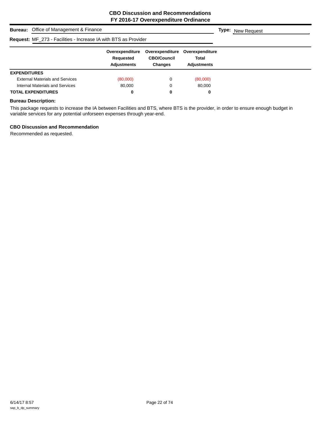|                           | <b>Bureau:</b> Office of Management & Finance                          | <b>Type:</b> New Request                           |                                                         |                                                |  |
|---------------------------|------------------------------------------------------------------------|----------------------------------------------------|---------------------------------------------------------|------------------------------------------------|--|
|                           | <b>Request:</b> MF_273 - Facilities - Increase IA with BTS as Provider |                                                    |                                                         |                                                |  |
|                           |                                                                        | Overexpenditure<br>Requested<br><b>Adjustments</b> | Overexpenditure<br><b>CBO/Council</b><br><b>Changes</b> | Overexpenditure<br>Total<br><b>Adiustments</b> |  |
| <b>EXPENDITURES</b>       |                                                                        |                                                    |                                                         |                                                |  |
|                           | <b>External Materials and Services</b>                                 | (80,000)                                           | 0                                                       | (80,000)                                       |  |
|                           | Internal Materials and Services                                        | 80.000                                             | 0                                                       | 80.000                                         |  |
| <b>TOTAL EXPENDITURES</b> |                                                                        | 0                                                  | 0                                                       | 0                                              |  |

This package requests to increase the IA between Facilities and BTS, where BTS is the provider, in order to ensure enough budget in variable services for any potential unforseen expenses through year-end.

## **CBO Discussion and Recommendation**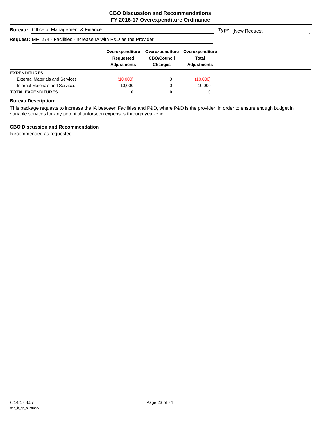| <b>Bureau:</b> Office of Management & Finance                              | <b>Type:</b> New Request                           |                                                         |                                                       |  |
|----------------------------------------------------------------------------|----------------------------------------------------|---------------------------------------------------------|-------------------------------------------------------|--|
| <b>Request:</b> MF_274 - Facilities - Increase IA with P&D as the Provider |                                                    |                                                         |                                                       |  |
|                                                                            | Overexpenditure<br>Requested<br><b>Adjustments</b> | Overexpenditure<br><b>CBO/Council</b><br><b>Changes</b> | Overexpenditure<br><b>Total</b><br><b>Adiustments</b> |  |
| <b>EXPENDITURES</b>                                                        |                                                    |                                                         |                                                       |  |
| <b>External Materials and Services</b>                                     | (10,000)                                           | 0                                                       | (10,000)                                              |  |
| Internal Materials and Services                                            | 10.000                                             | 0                                                       | 10.000                                                |  |
| <b>TOTAL EXPENDITURES</b>                                                  | 0                                                  | 0                                                       | 0                                                     |  |

This package requests to increase the IA between Facilities and P&D, where P&D is the provider, in order to ensure enough budget in variable services for any potential unforseen expenses through year-end.

## **CBO Discussion and Recommendation**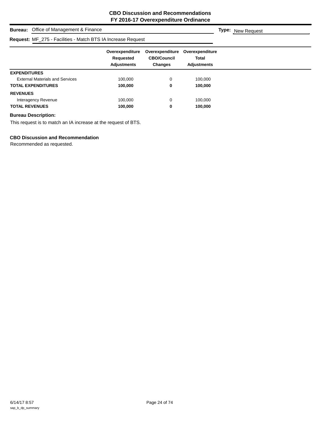## **Bureau:** Office of Management & Finance **Overexpenditure Overexpenditure Overexpenditure Requested CBO/Council Total Adjustments Changes Adjustments Type:** New Request **Request:** MF\_275 - Facilities - Match BTS IA Increase Request **EXPENDITURES** External Materials and Services 100,000 0 100,000 **TOTAL EXPENDITURES 100,000 0 100,000 REVENUES** Interagency Revenue 100,000 100,000 0 100,000 0 100,000 100,000 0 100,000 100,000 0 100,000 100,000 100,000 10 **TOTAL REVENUES 100,000 0 100,000**

## **Bureau Description:**

This request is to match an IA increase at the request of BTS.

## **CBO Discussion and Recommendation**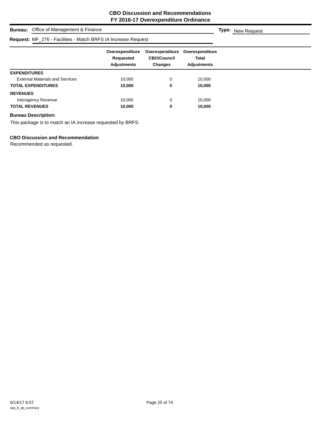| Office of Management & Finance<br><b>Bureau:</b>                     | <b>Type:</b> New Request                           |                                                  |                                                |  |
|----------------------------------------------------------------------|----------------------------------------------------|--------------------------------------------------|------------------------------------------------|--|
| <b>Request: MF_276 - Facilities - Match BRFS IA Increase Request</b> |                                                    |                                                  |                                                |  |
|                                                                      | Overexpenditure<br>Requested<br><b>Adjustments</b> | Overexpenditure<br><b>CBO/Council</b><br>Changes | Overexpenditure<br>Total<br><b>Adjustments</b> |  |
| <b>EXPENDITURES</b>                                                  |                                                    |                                                  |                                                |  |
| <b>External Materials and Services</b>                               | 10.000                                             | 0                                                | 10.000                                         |  |
| <b>TOTAL EXPENDITURES</b>                                            | 10,000                                             | 0                                                | 10,000                                         |  |
| <b>REVENUES</b>                                                      |                                                    |                                                  |                                                |  |
| Interagency Revenue                                                  | 10.000                                             | 0                                                | 10.000                                         |  |
| <b>TOTAL REVENUES</b>                                                | 10.000                                             | 0                                                | 10,000                                         |  |

This package is to match an IA increase requested by BRFS.

## **CBO Discussion and Recommendation**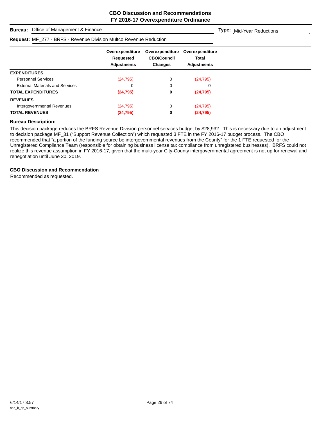**Type:** Mid-Year Reductions

## **Bureau:** Office of Management & Finance

| <b>Request: MF_277 - BRFS - Revenue Division Multco Revenue Reduction</b> |                                                    |                                                         |                                                       |  |
|---------------------------------------------------------------------------|----------------------------------------------------|---------------------------------------------------------|-------------------------------------------------------|--|
|                                                                           | Overexpenditure<br>Requested<br><b>Adjustments</b> | Overexpenditure<br><b>CBO/Council</b><br><b>Changes</b> | Overexpenditure<br><b>Total</b><br><b>Adjustments</b> |  |
| <b>EXPENDITURES</b>                                                       |                                                    |                                                         |                                                       |  |
| <b>Personnel Services</b>                                                 | (24, 795)                                          | 0                                                       | (24, 795)                                             |  |
| <b>External Materials and Services</b>                                    | 0                                                  | 0                                                       | 0                                                     |  |
| <b>TOTAL EXPENDITURES</b>                                                 | (24, 795)                                          | 0                                                       | (24, 795)                                             |  |
| <b>REVENUES</b>                                                           |                                                    |                                                         |                                                       |  |
| Intergovernmental Revenues                                                | (24, 795)                                          | 0                                                       | (24, 795)                                             |  |
| <b>TOTAL REVENUES</b>                                                     | (24, 795)                                          | 0                                                       | (24, 795)                                             |  |

## **Bureau Description:**

This decision package reduces the BRFS Revenue Division personnel services budget by \$28,932. This is necessary due to an adjustment to decision package MF\_31 ("Support Revenue Collection") which requested 3 FTE in the FY 2016-17 budget process. The CBO recommended that "a portion of the funding source be intergovernmental revenues from the County" for the 1 FTE requested for the Unregistered Compliance Team (responsible for obtaining business license tax compliance from unregistered businesses). BRFS could not realize this revenue assumption in FY 2016-17, given that the multi-year City-County intergovernmental agreement is not up for renewal and renegotiation until June 30, 2019.

### **CBO Discussion and Recommendation**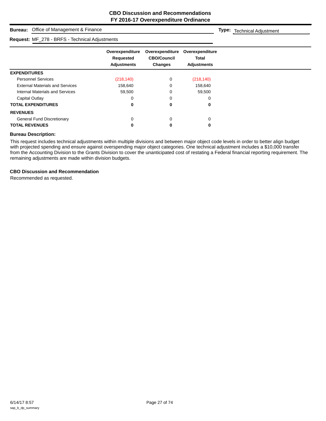## **Bureau:** Office of Management & Finance

#### **Request:** MF\_278 - BRFS - Technical Adjustments

**Overexpenditure Overexpenditure Overexpenditure Requested CBO/Council Total Adjustments Changes Adjustments Type:** Technical Adjustment **EXPENDITURES** Personnel Services (218,140) 0 (218,140) External Materials and Services 158,640 158,640 0 158,640 Internal Materials and Services 69,500 0 59,500 59,500 Capital Outlay 0 0 0 **TOTAL EXPENDITURES 0 0 0 REVENUES** General Fund Discretionary and the control of the control of the control of the control of the control of the control of the control of the control of the control of the control of the control of the control of the control **TOTAL REVENUES 0 0 0**

## **Bureau Description:**

This request includes technical adjustments within multiple divisions and between major object code levels in order to better align budget with projected spending and ensure against overspending major object categories. One technical adjustment includes a \$10,000 transfer from the Accounting Division to the Grants Division to cover the unanticipated cost of restating a Federal financial reporting requirement. The remaining adjustments are made within division budgets.

#### **CBO Discussion and Recommendation**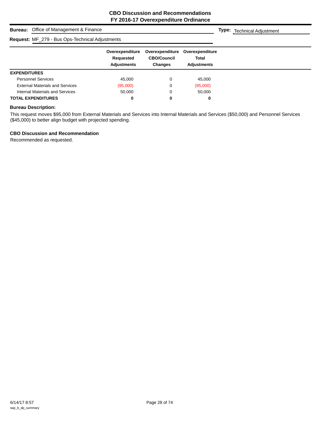**Type:** Technical Adjustment

## **Bureau:** Office of Management & Finance

## **Request:** MF\_279 - Bus Ops-Technical Adjustments

|                                        | Overexpenditure<br>Requested<br><b>Adjustments</b> | Overexpenditure<br><b>CBO/Council</b><br><b>Changes</b> | Overexpenditure<br><b>Total</b><br><b>Adjustments</b> |  |
|----------------------------------------|----------------------------------------------------|---------------------------------------------------------|-------------------------------------------------------|--|
| <b>EXPENDITURES</b>                    |                                                    |                                                         |                                                       |  |
| <b>Personnel Services</b>              | 45.000                                             |                                                         | 45.000                                                |  |
| <b>External Materials and Services</b> | (95,000)                                           |                                                         | (95,000)                                              |  |
| Internal Materials and Services        | 50,000                                             |                                                         | 50,000                                                |  |
| <b>TOTAL EXPENDITURES</b>              | 0                                                  | $\bf{0}$                                                |                                                       |  |

## **Bureau Description:**

This request moves \$95,000 from External Materials and Services into Internal Materials and Services (\$50,000) and Personnel Services (\$45,000) to better align budget with projected spending.

## **CBO Discussion and Recommendation**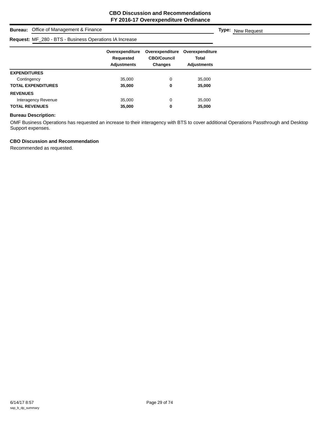## **Bureau:** Office of Management & Finance **Overexpenditure Overexpenditure Overexpenditure Requested CBO/Council Total Adjustments Changes Adjustments Type:** New Request **Request:** MF\_280 - BTS - Business Operations IA Increase

| <b>EXPENDITURES</b>       |        |   |        |  |
|---------------------------|--------|---|--------|--|
| Contingency               | 35,000 | O | 35.000 |  |
| <b>TOTAL EXPENDITURES</b> | 35,000 |   | 35,000 |  |
| <b>REVENUES</b>           |        |   |        |  |
| Interagency Revenue       | 35.000 | 0 | 35.000 |  |
| <b>TOTAL REVENUES</b>     | 35,000 |   | 35,000 |  |

### **Bureau Description:**

OMF Business Operations has requested an increase to their interagency with BTS to cover additional Operations Passthrough and Desktop Support expenses.

## **CBO Discussion and Recommendation**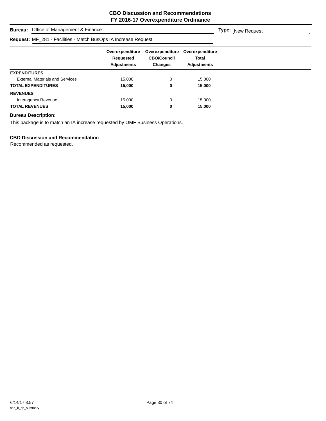**Type:** New Request

## **Bureau:** Office of Management & Finance

## **Request:** MF\_281 - Facilities - Match BusOps IA Increase Request

| R <b>equest:</b> MF_281 - Facilities - Match BusOps IA Increase Request |                                                    |                                                         |                                                       |  |
|-------------------------------------------------------------------------|----------------------------------------------------|---------------------------------------------------------|-------------------------------------------------------|--|
|                                                                         | Overexpenditure<br>Requested<br><b>Adjustments</b> | Overexpenditure<br><b>CBO/Council</b><br><b>Changes</b> | Overexpenditure<br><b>Total</b><br><b>Adjustments</b> |  |
| <b>EXPENDITURES</b>                                                     |                                                    |                                                         |                                                       |  |
| <b>External Materials and Services</b>                                  | 15,000                                             |                                                         | 15,000                                                |  |
| TOTAL EXPENDITURES                                                      | 15,000                                             | 0                                                       | 15,000                                                |  |
| <b>REVENUES</b>                                                         |                                                    |                                                         |                                                       |  |
| Interagency Revenue                                                     | 15.000                                             | 0                                                       | 15,000                                                |  |
| <b>TOTAL REVENUES</b>                                                   | 15.000                                             | 0                                                       | 15.000                                                |  |

## **Bureau Description:**

This package is to match an IA increase requested by OMF Business Operations.

## **CBO Discussion and Recommendation**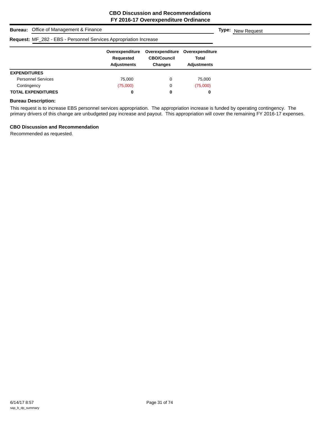| <b>Bureau:</b> Office of Management & Finance                            | <b>Type:</b> New Request                           |                                                         |                                                |  |
|--------------------------------------------------------------------------|----------------------------------------------------|---------------------------------------------------------|------------------------------------------------|--|
| <b>Request: MF_282 - EBS - Personnel Services Appropriation Increase</b> |                                                    |                                                         |                                                |  |
|                                                                          | Overexpenditure<br>Requested<br><b>Adjustments</b> | Overexpenditure<br><b>CBO/Council</b><br><b>Changes</b> | Overexpenditure<br>Total<br><b>Adiustments</b> |  |
| <b>EXPENDITURES</b>                                                      |                                                    |                                                         |                                                |  |
| <b>Personnel Services</b>                                                | 75.000                                             | 0                                                       | 75,000                                         |  |
| Contingency                                                              | (75,000)                                           | 0                                                       | (75,000)                                       |  |
| <b>TOTAL EXPENDITURES</b>                                                | 0                                                  | 0                                                       | 0                                              |  |

This request is to increase EBS personnel services appropriation. The appropriation increase is funded by operating contingency. The primary drivers of this change are unbudgeted pay increase and payout. This appropriation will cover the remaining FY 2016-17 expenses.

## **CBO Discussion and Recommendation**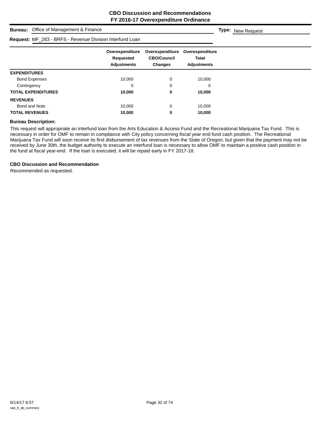| Office of Management & Finance<br><b>Bureau:</b>         |                                             |                                                  |                                                |  | <b>Type:</b> New Request |
|----------------------------------------------------------|---------------------------------------------|--------------------------------------------------|------------------------------------------------|--|--------------------------|
| Request: MF_283 - BRFS - Revenue Division Interfund Loan |                                             |                                                  |                                                |  |                          |
|                                                          | Overexpenditure<br>Requested<br>Adjustments | Overexpenditure<br><b>CBO/Council</b><br>Changes | Overexpenditure<br>Total<br><b>Adjustments</b> |  |                          |
| <b>EXPENDITURES</b>                                      |                                             |                                                  |                                                |  |                          |
| <b>Bond Expenses</b>                                     | 10,000                                      | 0                                                | 10,000                                         |  |                          |
| Contingency                                              | 0                                           | 0                                                | 0                                              |  |                          |
| <b>TOTAL EXPENDITURES</b>                                | 10,000                                      | 0                                                | 10,000                                         |  |                          |
| <b>REVENUES</b>                                          |                                             |                                                  |                                                |  |                          |
| Bond and Note                                            | 10,000                                      | 0                                                | 10,000                                         |  |                          |
| <b>TOTAL REVENUES</b>                                    | 10,000                                      | 0                                                | 10,000                                         |  |                          |

This request will appropriate an interfund loan from the Arts Education & Access Fund and the Recreational Marijuana Tax Fund. This is necessary in order for OMF to remain in compliance with City policy concerning fiscal year end fund cash position. The Recreational Marijuana Tax Fund will soon receive its first disbursement of tax revenues from the State of Oregon, but given that the payment may not be received by June 30th, the budget authority to execute an interfund loan is necessary to allow OMF to maintain a positive cash position in the fund at fiscal year-end. If the loan is executed, it will be repaid early in FY 2017-18.

## **CBO Discussion and Recommendation**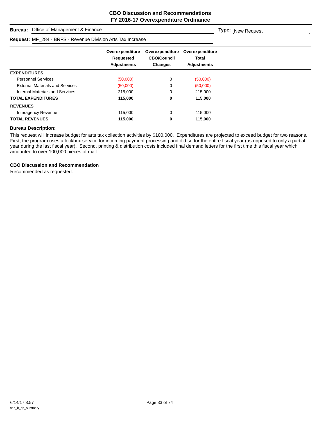**Type:** New Request

## **Bureau:** Office of Management & Finance

## **Request:** MF\_284 - BRFS - Revenue Division Arts Tax Increase

|                                        | Overexpenditure<br>Requested<br><b>Adjustments</b> | Overexpenditure<br><b>CBO/Council</b><br><b>Changes</b> | Overexpenditure<br><b>Total</b><br><b>Adjustments</b> |
|----------------------------------------|----------------------------------------------------|---------------------------------------------------------|-------------------------------------------------------|
| <b>EXPENDITURES</b>                    |                                                    |                                                         |                                                       |
| <b>Personnel Services</b>              | (50,000)                                           | 0                                                       | (50,000)                                              |
| <b>External Materials and Services</b> | (50,000)                                           | 0                                                       | (50,000)                                              |
| Internal Materials and Services        | 215,000                                            | 0                                                       | 215,000                                               |
| <b>TOTAL EXPENDITURES</b>              | 115,000                                            | 0                                                       | 115,000                                               |
| <b>REVENUES</b>                        |                                                    |                                                         |                                                       |
| Interagency Revenue                    | 115,000                                            | 0                                                       | 115,000                                               |
| <b>TOTAL REVENUES</b>                  | 115,000                                            | 0                                                       | 115,000                                               |

### **Bureau Description:**

This request will increase budget for arts tax collection activities by \$100,000. Expenditures are projected to exceed budget for two reasons. First, the program uses a lockbox service for incoming payment processing and did so for the entire fiscal year (as opposed to only a partial year during the last fiscal year). Second, printing & distribution costs included final demand letters for the first time this fiscal year which amounted to over 100,000 pieces of mail.

#### **CBO Discussion and Recommendation**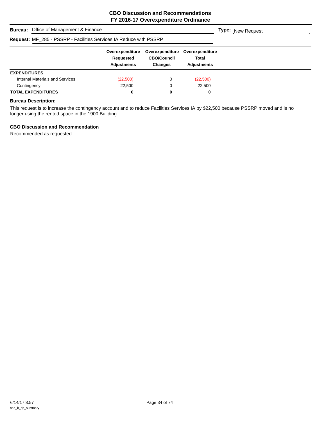| <b>Bureau:</b> Office of Management & Finance                             |                                                    |                                                         |                                                       | <b>Type:</b> New Request |
|---------------------------------------------------------------------------|----------------------------------------------------|---------------------------------------------------------|-------------------------------------------------------|--------------------------|
| <b>Request: MF_285 - PSSRP - Facilities Services IA Reduce with PSSRP</b> |                                                    |                                                         |                                                       |                          |
|                                                                           | Overexpenditure<br>Requested<br><b>Adjustments</b> | Overexpenditure<br><b>CBO/Council</b><br><b>Changes</b> | Overexpenditure<br><b>Total</b><br><b>Adjustments</b> |                          |
| <b>EXPENDITURES</b>                                                       |                                                    |                                                         |                                                       |                          |
| Internal Materials and Services                                           | (22,500)                                           | 0                                                       | (22,500)                                              |                          |
| Contingency                                                               | 22,500                                             | 0                                                       | 22.500                                                |                          |
| <b>TOTAL EXPENDITURES</b>                                                 | 0                                                  | 0                                                       | 0                                                     |                          |

This request is to increase the contingency account and to reduce Facilities Services IA by \$22,500 because PSSRP moved and is no longer using the rented space in the 1900 Building.

## **CBO Discussion and Recommendation**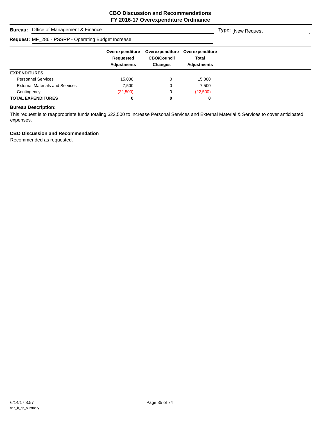| <b>Bureau:</b> Office of Management & Finance       | <b>Type:</b> New Request                           |                                                         |                                                       |  |
|-----------------------------------------------------|----------------------------------------------------|---------------------------------------------------------|-------------------------------------------------------|--|
| Request: MF_286 - PSSRP - Operating Budget Increase |                                                    |                                                         |                                                       |  |
|                                                     | Overexpenditure<br>Requested<br><b>Adjustments</b> | Overexpenditure<br><b>CBO/Council</b><br><b>Changes</b> | Overexpenditure<br><b>Total</b><br><b>Adjustments</b> |  |
| <b>EXPENDITURES</b>                                 |                                                    |                                                         |                                                       |  |
| <b>Personnel Services</b>                           | 15.000                                             | 0                                                       | 15.000                                                |  |
| <b>External Materials and Services</b>              | 7.500                                              | 0                                                       | 7,500                                                 |  |
| Contingency                                         | (22,500)                                           | 0                                                       | (22,500)                                              |  |
| <b>TOTAL EXPENDITURES</b>                           | 0                                                  | 0                                                       | 0                                                     |  |

This request is to reappropriate funds totaling \$22,500 to increase Personal Services and External Material & Services to cover anticipated expenses.

## **CBO Discussion and Recommendation**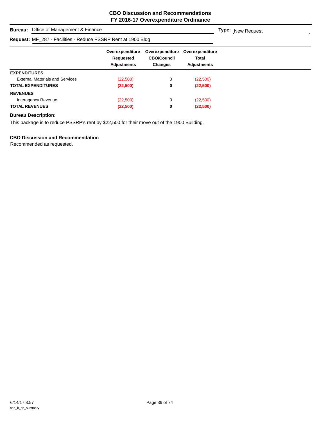## **Bureau:** Office of Management & Finance

#### **Request:** MF\_287 - Facilities - Reduce PSSRP Rent at 1900 Bldg

| <b>Request:</b> MF_287 - Facilities - Reduce PSSRP Rent at 1900 Bldg |                                                    |                                                         |                                                |
|----------------------------------------------------------------------|----------------------------------------------------|---------------------------------------------------------|------------------------------------------------|
|                                                                      | Overexpenditure<br>Requested<br><b>Adjustments</b> | Overexpenditure<br><b>CBO/Council</b><br><b>Changes</b> | Overexpenditure<br>Total<br><b>Adiustments</b> |
| <b>EXPENDITURES</b>                                                  |                                                    |                                                         |                                                |
| <b>External Materials and Services</b>                               | (22,500)                                           | 0                                                       | (22,500)                                       |
| <b>TOTAL EXPENDITURES</b>                                            | (22,500)                                           | 0                                                       | (22,500)                                       |
| <b>REVENUES</b>                                                      |                                                    |                                                         |                                                |
| Interagency Revenue                                                  | (22,500)                                           | 0                                                       | (22,500)                                       |
| <b>TOTAL REVENUES</b>                                                | (22,500)                                           | 0                                                       | (22,500)                                       |

#### **Bureau Description:**

This package is to reduce PSSRP's rent by \$22,500 for their move out of the 1900 Building.

#### **CBO Discussion and Recommendation**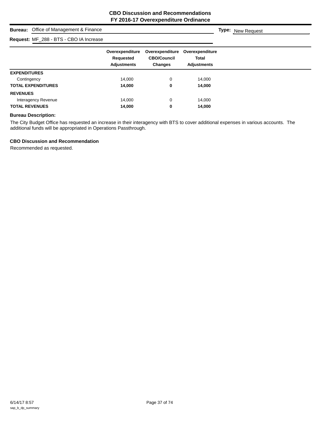## **Bureau:** Office of Management & Finance

## **Request:** MF\_288 - BTS - CBO IA Increase

| Request: MF_200 - DTS - CDU IA INCIEDSE |                                                    |                                                         |                                                       |
|-----------------------------------------|----------------------------------------------------|---------------------------------------------------------|-------------------------------------------------------|
|                                         | Overexpenditure<br>Requested<br><b>Adjustments</b> | Overexpenditure<br><b>CBO/Council</b><br><b>Changes</b> | Overexpenditure<br><b>Total</b><br><b>Adjustments</b> |
| <b>EXPENDITURES</b>                     |                                                    |                                                         |                                                       |
| Contingency                             | 14,000                                             | 0                                                       | 14,000                                                |
| <b>TOTAL EXPENDITURES</b>               | 14,000                                             | 0                                                       | 14,000                                                |
| <b>REVENUES</b>                         |                                                    |                                                         |                                                       |
| Interagency Revenue                     | 14,000                                             | 0                                                       | 14,000                                                |
| <b>TOTAL REVENUES</b>                   | 14,000                                             | 0                                                       | 14,000                                                |

#### **Bureau Description:**

The City Budget Office has requested an increase in their interagency with BTS to cover additional expenses in various accounts. The additional funds will be appropriated in Operations Passthrough.

#### **CBO Discussion and Recommendation**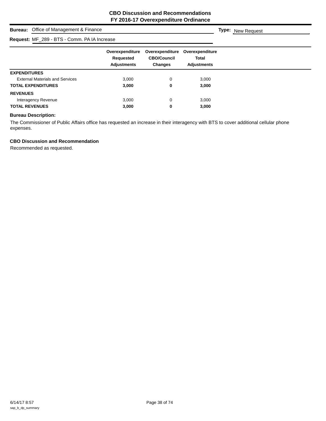## **Bureau:** Office of Management & Finance

## **Request:** MF\_289 - BTS - Comm. PA IA Increase

|                                        | Overexpenditure<br>Requested<br><b>Adjustments</b> | Overexpenditure<br><b>CBO/Council</b><br><b>Changes</b> | Overexpenditure<br><b>Total</b><br><b>Adjustments</b> |
|----------------------------------------|----------------------------------------------------|---------------------------------------------------------|-------------------------------------------------------|
| <b>EXPENDITURES</b>                    |                                                    |                                                         |                                                       |
| <b>External Materials and Services</b> | 3,000                                              | 0                                                       | 3,000                                                 |
| <b>TOTAL EXPENDITURES</b>              | 3,000                                              | 0                                                       | 3,000                                                 |
| <b>REVENUES</b>                        |                                                    |                                                         |                                                       |
| Interagency Revenue                    | 3,000                                              | 0                                                       | 3,000                                                 |
| <b>TOTAL REVENUES</b>                  | 3,000                                              | 0                                                       | 3,000                                                 |

## **Bureau Description:**

The Commissioner of Public Affairs office has requested an increase in their interagency with BTS to cover additional cellular phone expenses.

#### **CBO Discussion and Recommendation**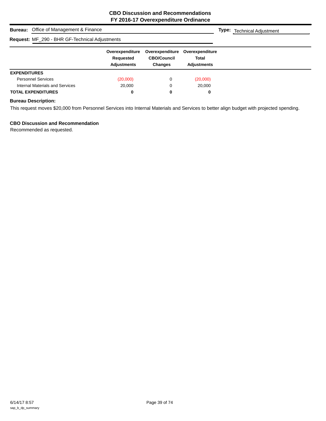| <b>Bureau:</b> Office of Management & Finance  |                                                    |                                                         |                                                       | <b>Type:</b> Technical Adjustment |
|------------------------------------------------|----------------------------------------------------|---------------------------------------------------------|-------------------------------------------------------|-----------------------------------|
| Request: MF_290 - BHR GF-Technical Adjustments |                                                    |                                                         |                                                       |                                   |
|                                                | Overexpenditure<br>Requested<br><b>Adjustments</b> | Overexpenditure<br><b>CBO/Council</b><br><b>Changes</b> | Overexpenditure<br><b>Total</b><br><b>Adjustments</b> |                                   |
| <b>EXPENDITURES</b>                            |                                                    |                                                         |                                                       |                                   |
| <b>Personnel Services</b>                      | (20,000)                                           | 0                                                       | (20,000)                                              |                                   |
| Internal Materials and Services                | 20,000                                             | 0                                                       | 20,000                                                |                                   |
| <b>TOTAL EXPENDITURES</b>                      | 0                                                  | 0                                                       | 0                                                     |                                   |

#### **Bureau Description:**

This request moves \$20,000 from Personnel Services into Internal Materials and Services to better align budget with projected spending.

## **CBO Discussion and Recommendation**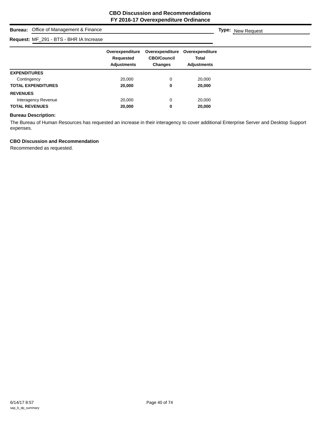## **Bureau:** Office of Management & Finance

## **Request:** MF\_291 - BTS - BHR IA Increase

| <b>Request:</b> MF_291 - DTO - DHR IA INCREASE |                                                    |                                                         |                                                |
|------------------------------------------------|----------------------------------------------------|---------------------------------------------------------|------------------------------------------------|
|                                                | Overexpenditure<br>Requested<br><b>Adjustments</b> | Overexpenditure<br><b>CBO/Council</b><br><b>Changes</b> | Overexpenditure<br>Total<br><b>Adjustments</b> |
| <b>EXPENDITURES</b>                            |                                                    |                                                         |                                                |
| Contingency                                    | 20,000                                             | 0                                                       | 20,000                                         |
| <b>TOTAL EXPENDITURES</b>                      | 20,000                                             | 0                                                       | 20,000                                         |
| <b>REVENUES</b>                                |                                                    |                                                         |                                                |
| Interagency Revenue                            | 20,000                                             | 0                                                       | 20,000                                         |
| <b>TOTAL REVENUES</b>                          | 20,000                                             | 0                                                       | 20,000                                         |

#### **Bureau Description:**

The Bureau of Human Resources has requested an increase in their interagency to cover additional Enterprise Server and Desktop Support expenses.

## **CBO Discussion and Recommendation**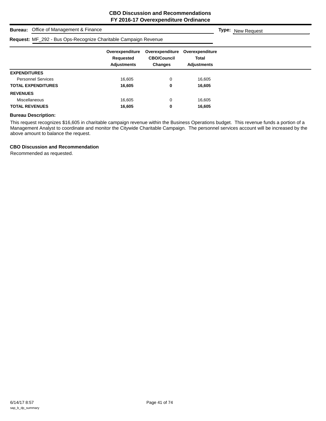#### **Bureau:** Office of Management & Finance

## **Request:** MF\_292 - Bus Ops-Recognize Charitable Campaign Revenue

|                           | Overexpenditure<br>Requested<br><b>Adjustments</b> | Overexpenditure<br><b>CBO/Council</b><br><b>Changes</b> | Overexpenditure<br>Total<br><b>Adjustments</b> |
|---------------------------|----------------------------------------------------|---------------------------------------------------------|------------------------------------------------|
| <b>EXPENDITURES</b>       |                                                    |                                                         |                                                |
| <b>Personnel Services</b> | 16,605                                             | 0                                                       | 16,605                                         |
| <b>TOTAL EXPENDITURES</b> | 16,605                                             | 0                                                       | 16,605                                         |
| <b>REVENUES</b>           |                                                    |                                                         |                                                |
| <b>Miscellaneous</b>      | 16,605                                             | 0                                                       | 16,605                                         |
| <b>TOTAL REVENUES</b>     | 16,605                                             | 0                                                       | 16,605                                         |

#### **Bureau Description:**

This request recognizes \$16,605 in charitable campaign revenue within the Business Operations budget. This revenue funds a portion of a Management Analyst to coordinate and monitor the Citywide Charitable Campaign. The personnel services account will be increased by the above amount to balance the request.

#### **CBO Discussion and Recommendation**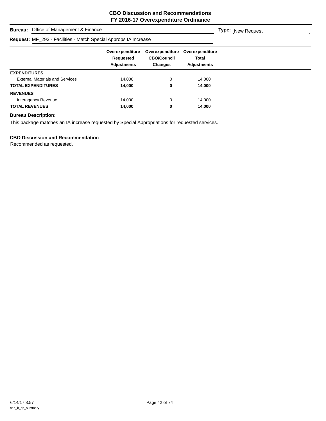## **Bureau:** Office of Management & Finance

# **Request:** MF 293 - Facilities - Match Special Approps IA In

| R <b>equest:</b> MF_293 - Facilities - Match Special Approps IA Increase |                                                    |                                                         |                                                |  |
|--------------------------------------------------------------------------|----------------------------------------------------|---------------------------------------------------------|------------------------------------------------|--|
|                                                                          | Overexpenditure<br>Requested<br><b>Adjustments</b> | Overexpenditure<br><b>CBO/Council</b><br><b>Changes</b> | Overexpenditure<br>Total<br><b>Adjustments</b> |  |
| <b>EXPENDITURES</b>                                                      |                                                    |                                                         |                                                |  |
| <b>External Materials and Services</b>                                   | 14,000                                             | $\Omega$                                                | 14,000                                         |  |
| TOTAL EXPENDITURES                                                       | 14,000                                             | 0                                                       | 14,000                                         |  |
| <b>REVENUES</b>                                                          |                                                    |                                                         |                                                |  |
| Interagency Revenue                                                      | 14.000                                             | 0                                                       | 14.000                                         |  |
| <b>TOTAL REVENUES</b>                                                    | 14,000                                             | 0                                                       | 14,000                                         |  |
|                                                                          |                                                    |                                                         |                                                |  |

#### **Bureau Description:**

This package matches an IA increase requested by Special Appropriations for requested services.

## **CBO Discussion and Recommendation**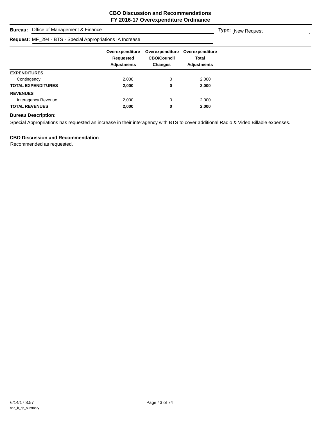## **Bureau:** Office of Management & Finance

# **Request:** ME\_204 - BTS - Special Appropriations IA In

| <b>Request:</b> MF_294 - BTS - Special Appropriations IA Increase |                                                    |                                                         |                                                       |  |
|-------------------------------------------------------------------|----------------------------------------------------|---------------------------------------------------------|-------------------------------------------------------|--|
|                                                                   | Overexpenditure<br>Requested<br><b>Adjustments</b> | Overexpenditure<br><b>CBO/Council</b><br><b>Changes</b> | Overexpenditure<br><b>Total</b><br><b>Adjustments</b> |  |
| <b>EXPENDITURES</b>                                               |                                                    |                                                         |                                                       |  |
| Contingency                                                       | 2,000                                              | 0                                                       | 2,000                                                 |  |
| <b>TOTAL EXPENDITURES</b>                                         | 2,000                                              | 0                                                       | 2,000                                                 |  |
| <b>REVENUES</b>                                                   |                                                    |                                                         |                                                       |  |
| Interagency Revenue                                               | 2,000                                              | 0                                                       | 2,000                                                 |  |
| <b>TOTAL REVENUES</b>                                             | 2,000                                              | 0                                                       | 2,000                                                 |  |

## **Bureau Description:**

Special Appropriations has requested an increase in their interagency with BTS to cover additional Radio & Video Billable expenses.

#### **CBO Discussion and Recommendation**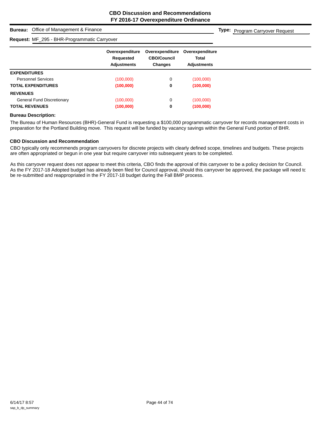**Type:** Program Carryover Request

#### **Bureau:** Office of Management & Finance

#### **Request:** MF\_295 - BHR-Programmatic Carryover

|                                   | Overexpenditure<br>Requested<br><b>Adjustments</b> | Overexpenditure<br><b>CBO/Council</b><br><b>Changes</b> | Overexpenditure<br><b>Total</b><br><b>Adjustments</b> |
|-----------------------------------|----------------------------------------------------|---------------------------------------------------------|-------------------------------------------------------|
| <b>EXPENDITURES</b>               |                                                    |                                                         |                                                       |
| <b>Personnel Services</b>         | (100,000)                                          | 0                                                       | (100,000)                                             |
| <b>TOTAL EXPENDITURES</b>         | (100,000)                                          | 0                                                       | (100,000)                                             |
| <b>REVENUES</b>                   |                                                    |                                                         |                                                       |
| <b>General Fund Discretionary</b> | (100,000)                                          | 0                                                       | (100,000)                                             |
| <b>TOTAL REVENUES</b>             | (100,000)                                          | 0                                                       | (100,000)                                             |

#### **Bureau Description:**

The Bureau of Human Resources (BHR)-General Fund is requesting a \$100,000 programmatic carryover for records management costs in preparation for the Portland Building move. This request will be funded by vacancy savings within the General Fund portion of BHR.

#### **CBO Discussion and Recommendation**

CBO typically only recommends program carryovers for discrete projects with clearly defined scope, timelines and budgets. These projects are often appropriated or begun in one year but require carryover into subsequent years to be completed.

As this carryover request does not appear to meet this criteria, CBO finds the approval of this carryover to be a policy decision for Council. As the FY 2017-18 Adopted budget has already been filed for Council approval, should this carryover be approved, the package will need to be re-submitted and reappropriated in the FY 2017-18 budget during the Fall BMP process.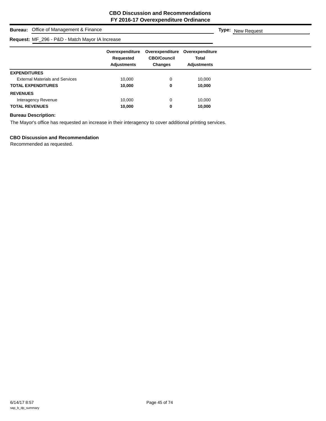## **Bureau:** Office of Management & Finance

## **Request:** MF\_296 - P&D - Match Mayor IA Increase

|                                        | <b>Request:</b> $W_2 = 290 - R_1 = 0$ indictionary to the increase |                                                         |                                                       |  |
|----------------------------------------|--------------------------------------------------------------------|---------------------------------------------------------|-------------------------------------------------------|--|
|                                        | Overexpenditure<br>Requested<br><b>Adjustments</b>                 | Overexpenditure<br><b>CBO/Council</b><br><b>Changes</b> | Overexpenditure<br><b>Total</b><br><b>Adjustments</b> |  |
| <b>EXPENDITURES</b>                    |                                                                    |                                                         |                                                       |  |
| <b>External Materials and Services</b> | 10,000                                                             | 0                                                       | 10,000                                                |  |
| <b>TOTAL EXPENDITURES</b>              | 10,000                                                             | 0                                                       | 10,000                                                |  |
| <b>REVENUES</b>                        |                                                                    |                                                         |                                                       |  |
| Interagency Revenue                    | 10,000                                                             | 0                                                       | 10,000                                                |  |
| <b>TOTAL REVENUES</b>                  | 10,000                                                             | 0                                                       | 10,000                                                |  |

#### **Bureau Description:**

The Mayor's office has requested an increase in their interagency to cover additional printing services.

#### **CBO Discussion and Recommendation**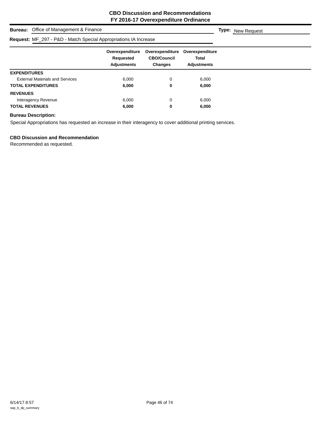## **Bureau:** Office of Management & Finance

# **Request:** MF\_297 - P&D - Match Special Appropriations IA Increase

| Overexpenditure<br>Requested<br><b>Adjustments</b> | Overexpenditure<br><b>CBO/Council</b><br><b>Changes</b> | Overexpenditure<br><b>Total</b><br>Adjustments |  |
|----------------------------------------------------|---------------------------------------------------------|------------------------------------------------|--|
|                                                    |                                                         |                                                |  |
| 6,000                                              | 0                                                       | 6,000                                          |  |
| 6,000                                              | 0                                                       | 6,000                                          |  |
|                                                    |                                                         |                                                |  |
| 6,000                                              | $\Omega$                                                | 6,000                                          |  |
| 6,000                                              | 0                                                       | 6,000                                          |  |
|                                                    |                                                         |                                                |  |

#### **Bureau Description:**

Special Appropriations has requested an increase in their interagency to cover additional printing services.

#### **CBO Discussion and Recommendation**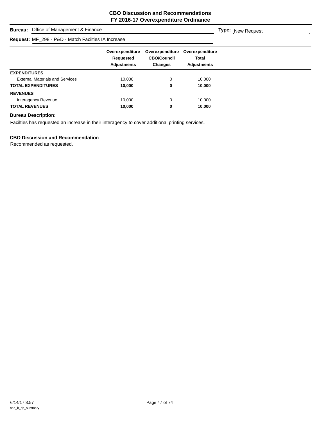## **Bureau:** Office of Management & Finance

# **Request:** MF\_298 - P&D - Match Facilties IA In

| R <b>equest:</b> MF_298 - P&D - Match Facilties IA Increase |                                                    |                                                         |                                                       |  |
|-------------------------------------------------------------|----------------------------------------------------|---------------------------------------------------------|-------------------------------------------------------|--|
|                                                             | Overexpenditure<br>Requested<br><b>Adjustments</b> | Overexpenditure<br><b>CBO/Council</b><br><b>Changes</b> | Overexpenditure<br><b>Total</b><br><b>Adjustments</b> |  |
| <b>EXPENDITURES</b>                                         |                                                    |                                                         |                                                       |  |
| <b>External Materials and Services</b>                      | 10,000                                             | 0                                                       | 10,000                                                |  |
| <b>TOTAL EXPENDITURES</b>                                   | 10,000                                             | 0                                                       | 10,000                                                |  |
| <b>REVENUES</b>                                             |                                                    |                                                         |                                                       |  |
| Interagency Revenue                                         | 10,000                                             | $\Omega$                                                | 10,000                                                |  |
| <b>TOTAL REVENUES</b>                                       | 10,000                                             | 0                                                       | 10,000                                                |  |

#### **Bureau Description:**

Facilties has requested an increase in their interagency to cover additional printing services.

#### **CBO Discussion and Recommendation**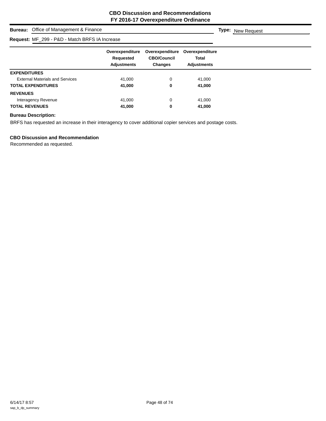## **Bureau:** Office of Management & Finance

# **Request:** MF\_299 - P&D - Match BRFS IA Increase

|                                        | Overexpenditure<br>Requested<br><b>Adjustments</b> | Overexpenditure<br><b>CBO/Council</b><br><b>Changes</b> | Overexpenditure<br><b>Total</b><br><b>Adjustments</b> |
|----------------------------------------|----------------------------------------------------|---------------------------------------------------------|-------------------------------------------------------|
| <b>EXPENDITURES</b>                    |                                                    |                                                         |                                                       |
| <b>External Materials and Services</b> | 41.000                                             | 0                                                       | 41,000                                                |
| <b>TOTAL EXPENDITURES</b>              | 41,000                                             | 0                                                       | 41,000                                                |
| <b>REVENUES</b>                        |                                                    |                                                         |                                                       |
| Interagency Revenue                    | 41,000                                             | 0                                                       | 41,000                                                |
| <b>TOTAL REVENUES</b>                  | 41,000                                             | 0                                                       | 41,000                                                |

#### **Bureau Description:**

BRFS has requested an increase in their interagency to cover additional copier services and postage costs.

#### **CBO Discussion and Recommendation**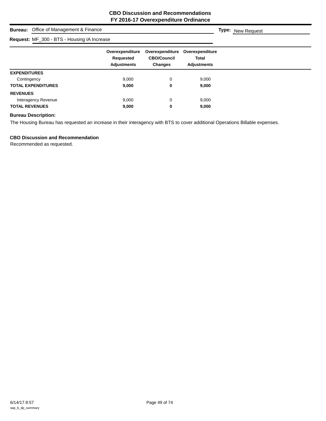## **Bureau:** Office of Management & Finance

## **Request:** MF\_300 - BTS - Housing IA Increase

| Request. Mr _300 - B TO - Housing IA Increase |                                                    |                                                         |                                                       |
|-----------------------------------------------|----------------------------------------------------|---------------------------------------------------------|-------------------------------------------------------|
|                                               | Overexpenditure<br>Requested<br><b>Adjustments</b> | Overexpenditure<br><b>CBO/Council</b><br><b>Changes</b> | Overexpenditure<br><b>Total</b><br><b>Adjustments</b> |
| <b>EXPENDITURES</b>                           |                                                    |                                                         |                                                       |
| Contingency                                   | 9,000                                              | 0                                                       | 9,000                                                 |
| <b>TOTAL EXPENDITURES</b>                     | 9,000                                              | 0                                                       | 9,000                                                 |
| <b>REVENUES</b>                               |                                                    |                                                         |                                                       |
| Interagency Revenue                           | 9,000                                              | 0                                                       | 9,000                                                 |
| <b>TOTAL REVENUES</b>                         | 9,000                                              | 0                                                       | 9,000                                                 |

#### **Bureau Description:**

The Housing Bureau has requested an increase in their interagency with BTS to cover additional Operations Billable expenses.

#### **CBO Discussion and Recommendation**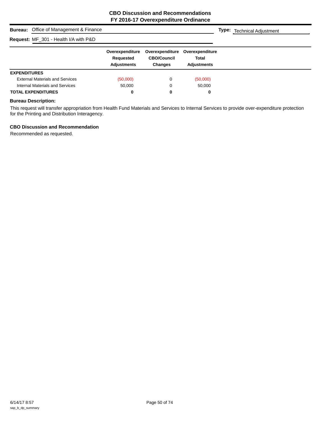|                     | <b>Bureau:</b> Office of Management & Finance |                                                    |                                                  |                                                       | <b>Type:</b> Technical Adjustment |
|---------------------|-----------------------------------------------|----------------------------------------------------|--------------------------------------------------|-------------------------------------------------------|-----------------------------------|
|                     | Request: MF_301 - Health I/A with P&D         |                                                    |                                                  |                                                       |                                   |
|                     |                                               | Overexpenditure<br>Requested<br><b>Adjustments</b> | Overexpenditure<br><b>CBO/Council</b><br>Changes | Overexpenditure<br><b>Total</b><br><b>Adiustments</b> |                                   |
| <b>EXPENDITURES</b> |                                               |                                                    |                                                  |                                                       |                                   |
|                     | <b>External Materials and Services</b>        | (50,000)                                           | 0                                                | (50,000)                                              |                                   |
|                     | Internal Materials and Services               | 50,000                                             | 0                                                | 50.000                                                |                                   |
|                     | <b>TOTAL EXPENDITURES</b>                     | 0                                                  | 0                                                | 0                                                     |                                   |

#### **Bureau Description:**

This request will transfer appropriation from Health Fund Materials and Services to Internal Services to provide over-expenditure protection for the Printing and Distribution Interagency.

## **CBO Discussion and Recommendation**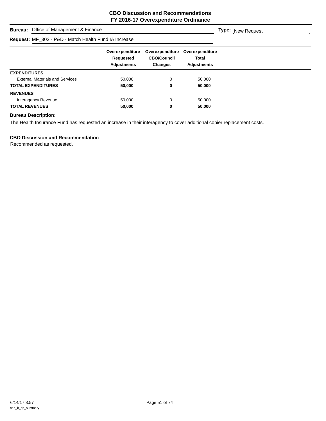## **Bureau:** Office of Management & Finance

# **Request:** MF\_302 - P&D - Match Health Fund IA Increase

| R <b>equest:</b> MF_302 - P&D - Match Health Fund IA Increase |                                                    |                                                         |                                                       |
|---------------------------------------------------------------|----------------------------------------------------|---------------------------------------------------------|-------------------------------------------------------|
|                                                               | Overexpenditure<br>Requested<br><b>Adjustments</b> | Overexpenditure<br><b>CBO/Council</b><br><b>Changes</b> | Overexpenditure<br><b>Total</b><br><b>Adjustments</b> |
| <b>EXPENDITURES</b>                                           |                                                    |                                                         |                                                       |
| <b>External Materials and Services</b>                        | 50,000                                             | 0                                                       | 50,000                                                |
| <b>TOTAL EXPENDITURES</b>                                     | 50,000                                             | 0                                                       | 50,000                                                |
| <b>REVENUES</b>                                               |                                                    |                                                         |                                                       |
| Interagency Revenue                                           | 50,000                                             |                                                         | 50,000                                                |
| <b>TOTAL REVENUES</b>                                         | 50,000                                             | 0                                                       | 50,000                                                |

#### **Bureau Description:**

The Health Insurance Fund has requested an increase in their interagency to cover additional copier replacement costs.

#### **CBO Discussion and Recommendation**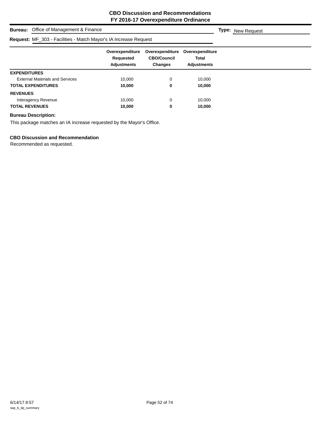## **Bureau:** Office of Management & Finance

#### **Request:** MF\_303 - Facilities - Match Mayor's IA Increase Request

| R <b>equest:</b> MF_303 - Facilities - Match Mayor's IA Increase Request |                                                    |                                                         |                                                |
|--------------------------------------------------------------------------|----------------------------------------------------|---------------------------------------------------------|------------------------------------------------|
|                                                                          | Overexpenditure<br>Requested<br><b>Adjustments</b> | Overexpenditure<br><b>CBO/Council</b><br><b>Changes</b> | Overexpenditure<br>Total<br><b>Adjustments</b> |
| <b>EXPENDITURES</b>                                                      |                                                    |                                                         |                                                |
| <b>External Materials and Services</b>                                   | 10.000                                             | 0                                                       | 10,000                                         |
| <b>TOTAL EXPENDITURES</b>                                                | 10.000                                             | 0                                                       | 10,000                                         |
| <b>REVENUES</b>                                                          |                                                    |                                                         |                                                |
| Interagency Revenue                                                      | 10.000                                             | 0                                                       | 10.000                                         |
| <b>TOTAL REVENUES</b>                                                    | 10,000                                             | 0                                                       | 10.000                                         |

#### **Bureau Description:**

This package matches an IA increase requested by the Mayor's Office.

## **CBO Discussion and Recommendation**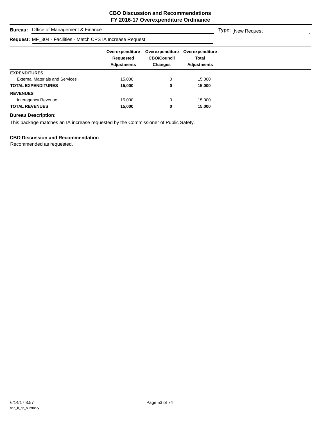## **Bureau:** Office of Management & Finance

#### **Request:** MF\_304 - Facilities - Match CPS IA Increase Request

|                                        | R <b>equest:</b> MF_304 - Facilities - Match CPS IA Increase Request |                                                         |                                                       |
|----------------------------------------|----------------------------------------------------------------------|---------------------------------------------------------|-------------------------------------------------------|
|                                        | Overexpenditure<br>Requested<br><b>Adjustments</b>                   | Overexpenditure<br><b>CBO/Council</b><br><b>Changes</b> | Overexpenditure<br><b>Total</b><br><b>Adjustments</b> |
| <b>EXPENDITURES</b>                    |                                                                      |                                                         |                                                       |
| <b>External Materials and Services</b> | 15,000                                                               | 0                                                       | 15,000                                                |
| <b>TOTAL EXPENDITURES</b>              | 15,000                                                               | 0                                                       | 15,000                                                |
| <b>REVENUES</b>                        |                                                                      |                                                         |                                                       |
| Interagency Revenue                    | 15,000                                                               | $\Omega$                                                | 15,000                                                |
| <b>TOTAL REVENUES</b>                  | 15,000                                                               | 0                                                       | 15,000                                                |

#### **Bureau Description:**

This package matches an IA increase requested by the Commissioner of Public Safety.

#### **CBO Discussion and Recommendation**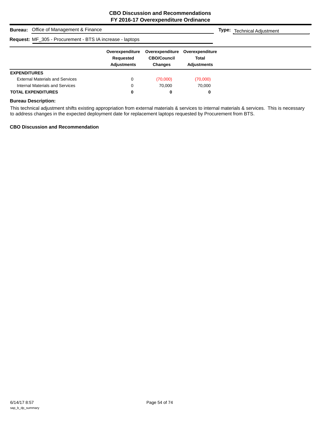| <b>Bureau:</b> Office of Management & Finance                    |                                                    |                                                         |                                                       | <b>Type:</b> Technical Adjustment |
|------------------------------------------------------------------|----------------------------------------------------|---------------------------------------------------------|-------------------------------------------------------|-----------------------------------|
| <b>Request: MF_305 - Procurement - BTS IA increase - laptops</b> |                                                    |                                                         |                                                       |                                   |
|                                                                  | Overexpenditure<br>Requested<br><b>Adjustments</b> | Overexpenditure<br><b>CBO/Council</b><br><b>Changes</b> | Overexpenditure<br><b>Total</b><br><b>Adjustments</b> |                                   |
| <b>EXPENDITURES</b>                                              |                                                    |                                                         |                                                       |                                   |
| <b>External Materials and Services</b>                           | 0                                                  | (70,000)                                                | (70,000)                                              |                                   |
| Internal Materials and Services                                  | 0                                                  | 70.000                                                  | 70.000                                                |                                   |
| <b>TOTAL EXPENDITURES</b>                                        | 0                                                  | 0                                                       | 0                                                     |                                   |

## **Bureau Description:**

This technical adjustment shifts existing appropriation from external materials & services to internal materials & services. This is necessary to address changes in the expected deployment date for replacement laptops requested by Procurement from BTS.

#### **CBO Discussion and Recommendation**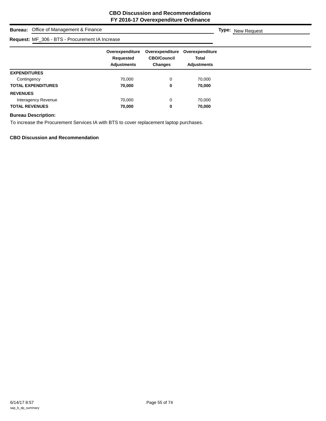## **Bureau:** Office of Management & Finance

# **Request: ME\_306 - BTS - Procurement IA In**

| Request: MF_306 - BTS - Procurement IA Increase |                                                    |                                                         |                                                       |  |
|-------------------------------------------------|----------------------------------------------------|---------------------------------------------------------|-------------------------------------------------------|--|
|                                                 | Overexpenditure<br>Requested<br><b>Adjustments</b> | Overexpenditure<br><b>CBO/Council</b><br><b>Changes</b> | Overexpenditure<br><b>Total</b><br><b>Adjustments</b> |  |
| <b>EXPENDITURES</b>                             |                                                    |                                                         |                                                       |  |
| Contingency                                     | 70,000                                             |                                                         | 70,000                                                |  |
| <b>TOTAL EXPENDITURES</b>                       | 70,000                                             | 0                                                       | 70,000                                                |  |
| <b>REVENUES</b>                                 |                                                    |                                                         |                                                       |  |
| Interagency Revenue                             | 70,000                                             | 0                                                       | 70,000                                                |  |
| <b>TOTAL REVENUES</b>                           | 70,000                                             | 0                                                       | 70,000                                                |  |

#### **Bureau Description:**

To increase the Procurement Services IA with BTS to cover replacement laptop purchases.

**CBO Discussion and Recommendation**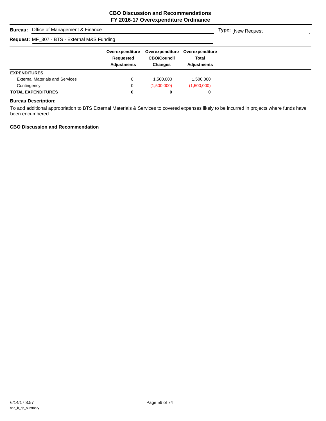| <b>Bureau:</b> Office of Management & Finance |                                                    |                                                         |                                                       | <b>Type:</b> New Request |
|-----------------------------------------------|----------------------------------------------------|---------------------------------------------------------|-------------------------------------------------------|--------------------------|
| Request: MF_307 - BTS - External M&S Funding  |                                                    |                                                         |                                                       |                          |
|                                               | Overexpenditure<br>Requested<br><b>Adjustments</b> | Overexpenditure<br><b>CBO/Council</b><br><b>Changes</b> | Overexpenditure<br><b>Total</b><br><b>Adiustments</b> |                          |
| <b>EXPENDITURES</b>                           |                                                    |                                                         |                                                       |                          |
| <b>External Materials and Services</b>        | 0                                                  | 1.500.000                                               | 1.500.000                                             |                          |
| Contingency                                   | 0                                                  | (1,500,000)                                             | (1,500,000)                                           |                          |
| <b>TOTAL EXPENDITURES</b>                     | 0                                                  | 0                                                       | 0                                                     |                          |

## **Bureau Description:**

To add additional appropriation to BTS External Materials & Services to covered expenses likely to be incurred in projects where funds have been encumbered.

## **CBO Discussion and Recommendation**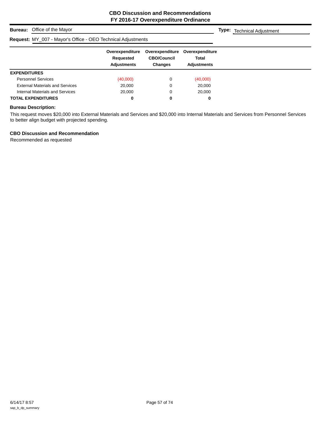**Type:** Technical Adjustment

## **Bureau:** Office of the Mayor

# **Request:** MY\_007 - Mayor's Office - OEO Technical Adjustments

|                                        | Overexpenditure<br>Requested<br><b>Adjustments</b> | Overexpenditure<br><b>CBO/Council</b><br><b>Changes</b> | Overexpenditure<br><b>Total</b><br><b>Adjustments</b> |  |
|----------------------------------------|----------------------------------------------------|---------------------------------------------------------|-------------------------------------------------------|--|
| <b>EXPENDITURES</b>                    |                                                    |                                                         |                                                       |  |
| <b>Personnel Services</b>              | (40,000)                                           |                                                         | (40,000)                                              |  |
| <b>External Materials and Services</b> | 20,000                                             | C                                                       | 20,000                                                |  |
| Internal Materials and Services        | 20,000                                             | 0                                                       | 20,000                                                |  |
| <b>TOTAL EXPENDITURES</b>              | 0                                                  | 0                                                       | 0                                                     |  |

#### **Bureau Description:**

This request moves \$20,000 into External Materials and Services and \$20,000 into Internal Materials and Services from Personnel Services to better align budget with projected spending.

#### **CBO Discussion and Recommendation**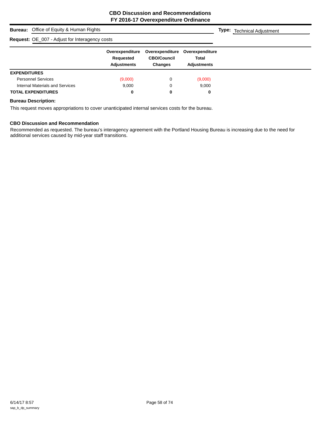# **Bureau:** Office of Equity & Human Rights **Overexpenditure Overexpenditure Overexpenditure Requested CBO/Council Total Adjustments Changes Adjustments Type:** Technical Adjustment **Request:** OE\_007 - Adjust for Interagency costs **EXPENDITURES** Personnel Services (9,000) 0 (9,000) 0 (9,000) Internal Materials and Services **9,000** 9,000 0 9,000 **TOTAL EXPENDITURES 0 0 0**

#### **Bureau Description:**

This request moves appropriations to cover unanticipated internal services costs for the bureau.

#### **CBO Discussion and Recommendation**

Recommended as requested. The bureau's interagency agreement with the Portland Housing Bureau is increasing due to the need for additional services caused by mid-year staff transitions.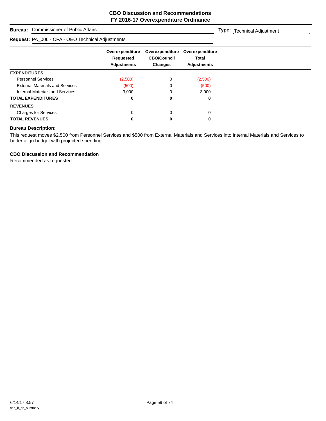## **Bureau:** Commissioner of Public Affairs

#### **Request:** PA\_006 - CPA - OEO Technical Adjustments

**Type:** Technical Adjustment

|                                        | Overexpenditure<br>Requested<br><b>Adjustments</b> | Overexpenditure<br><b>CBO/Council</b><br><b>Changes</b> | Overexpenditure<br><b>Total</b><br><b>Adjustments</b> |
|----------------------------------------|----------------------------------------------------|---------------------------------------------------------|-------------------------------------------------------|
| <b>EXPENDITURES</b>                    |                                                    |                                                         |                                                       |
| <b>Personnel Services</b>              | (2,500)                                            | 0                                                       | (2,500)                                               |
| <b>External Materials and Services</b> | (500)                                              |                                                         | (500)                                                 |
| Internal Materials and Services        | 3,000                                              |                                                         | 3,000                                                 |
| <b>TOTAL EXPENDITURES</b>              | 0                                                  | 0                                                       | 0                                                     |
| <b>REVENUES</b>                        |                                                    |                                                         |                                                       |
| <b>Charges for Services</b>            | $\Omega$                                           | 0                                                       | $\Omega$                                              |
| <b>TOTAL REVENUES</b>                  |                                                    | 0                                                       | 0                                                     |

#### **Bureau Description:**

This request moves \$2,500 from Personnel Services and \$500 from External Materials and Services into Internal Materials and Services to better align budget with projected spending.

#### **CBO Discussion and Recommendation**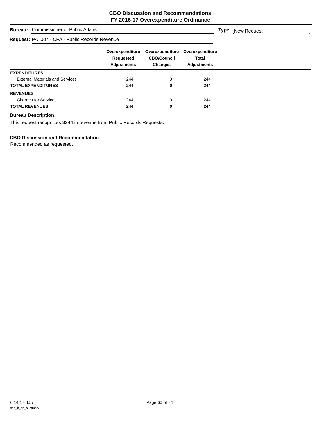# **Bureau:** Commissioner of Public Affairs **Overexpenditure Overexpenditure Overexpenditure Requested CBO/Council Total Adjustments Changes Adjustments Type:** New Request **Request:** PA\_007 - CPA - Public Records Revenue **EXPENDITURES** External Materials and Services 244 244 0 244 **TOTAL EXPENDITURES 244 0 244 REVENUES** Charges for Services 244 244 0 244 **TOTAL REVENUES 244 0 244**

#### **Bureau Description:**

This request recognizes \$244 in revenue from Public Records Requests.

#### **CBO Discussion and Recommendation**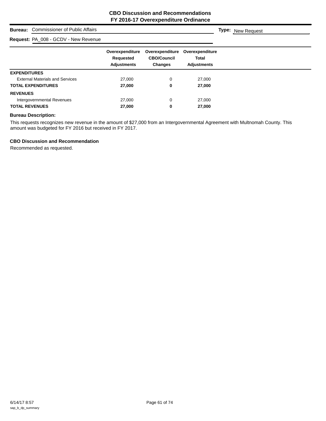#### **Bureau:** Commissioner of Public Affairs

## **Request:** PA\_008 - GCDV - New Revenue

|                                        | Overexpenditure<br>Requested<br><b>Adjustments</b> | Overexpenditure<br><b>CBO/Council</b><br><b>Changes</b> | Overexpenditure<br><b>Total</b><br><b>Adjustments</b> |
|----------------------------------------|----------------------------------------------------|---------------------------------------------------------|-------------------------------------------------------|
| <b>EXPENDITURES</b>                    |                                                    |                                                         |                                                       |
| <b>External Materials and Services</b> | 27,000                                             | 0                                                       | 27,000                                                |
| <b>TOTAL EXPENDITURES</b>              | 27,000                                             | 0                                                       | 27,000                                                |
| <b>REVENUES</b>                        |                                                    |                                                         |                                                       |
| Intergovernmental Revenues             | 27,000                                             | 0                                                       | 27,000                                                |
| <b>TOTAL REVENUES</b>                  | 27,000                                             | 0                                                       | 27,000                                                |

#### **Bureau Description:**

This requests recognizes new revenue in the amount of \$27,000 from an Intergovernmental Agreement with Multnomah County. This amount was budgeted for FY 2016 but received in FY 2017.

#### **CBO Discussion and Recommendation**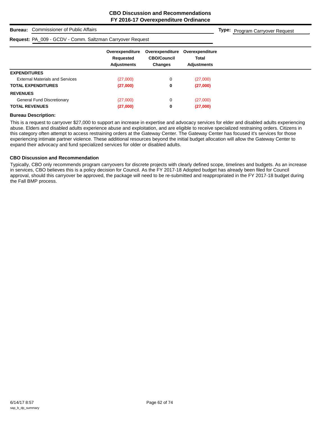**Type:** Program Carryover Request

#### **Bureau:** Commissioner of Public Affairs

#### **Request:** PA\_009 - GCDV - Comm. Saltzman Carryover Request

|                                        | Overexpenditure          | Overexpenditure<br><b>CBO/Council</b> | Overexpenditure<br><b>Total</b> |
|----------------------------------------|--------------------------|---------------------------------------|---------------------------------|
|                                        | Requested<br>Adjustments | <b>Changes</b>                        | <b>Adjustments</b>              |
| <b>EXPENDITURES</b>                    |                          |                                       |                                 |
| <b>External Materials and Services</b> | (27,000)                 | 0                                     | (27,000)                        |
| <b>TOTAL EXPENDITURES</b>              | (27,000)                 | 0                                     | (27,000)                        |
| <b>REVENUES</b>                        |                          |                                       |                                 |
| <b>General Fund Discretionary</b>      | (27,000)                 | 0                                     | (27,000)                        |
| <b>TOTAL REVENUES</b>                  | (27,000)                 | 0                                     | (27,000)                        |

#### **Bureau Description:**

This is a request to carryover \$27,000 to support an increase in expertise and advocacy services for elder and disabled adults experiencing abuse. Elders and disabled adults experience abuse and exploitation, and are eligible to receive specialized restraining orders. Citizens in this category often attempt to access restraining orders at the Gateway Center. The Gateway Center has focused it's services for those experiencing intimate partner violence. These additional resources beyond the initial budget allocation will allow the Gateway Center to expand their advocacy and fund specialized services for older or disabled adults.

#### **CBO Discussion and Recommendation**

Typically, CBO only recommends program carryovers for discrete projects with clearly defined scope, timelines and budgets. As an increase in services, CBO believes this is a policy decision for Council. As the FY 2017-18 Adopted budget has already been filed for Council approval, should this carryover be approved, the package will need to be re-submitted and reappropriated in the FY 2017-18 budget during the Fall BMP process.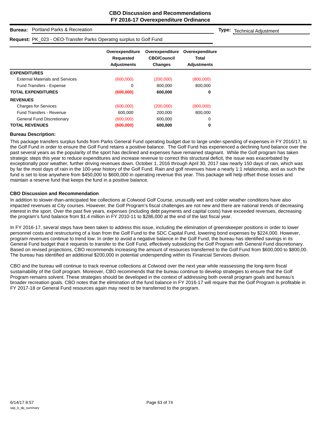**Type:** Technical Adjustment

#### **Bureau:** Portland Parks & Recreation

#### **Request:** PK\_023 - OEO-Transfer Parks Operatng surplus to Golf Fund

| <b>Request.</b> The UZS - OLO-Transier Fairs Operating surplus to Guilt unit. |                                                    |                                                         |                                                |
|-------------------------------------------------------------------------------|----------------------------------------------------|---------------------------------------------------------|------------------------------------------------|
|                                                                               | Overexpenditure<br>Requested<br><b>Adjustments</b> | Overexpenditure<br><b>CBO/Council</b><br><b>Changes</b> | Overexpenditure<br>Total<br><b>Adjustments</b> |
| <b>EXPENDITURES</b>                                                           |                                                    |                                                         |                                                |
| <b>External Materials and Services</b>                                        | (600,000)                                          | (200,000)                                               | (800,000)                                      |
| <b>Fund Transfers - Expense</b>                                               | 0                                                  | 800,000                                                 | 800,000                                        |
| <b>TOTAL EXPENDITURES</b>                                                     | (600,000)                                          | 600,000                                                 | 0                                              |
| <b>REVENUES</b>                                                               |                                                    |                                                         |                                                |
| <b>Charges for Services</b>                                                   | (600,000)                                          | (200,000)                                               | (800,000)                                      |
| Fund Transfers - Revenue                                                      | 600,000                                            | 200,000                                                 | 800,000                                        |
| General Fund Discretionary                                                    | (600,000)                                          | 600,000                                                 | 0                                              |
| <b>TOTAL REVENUES</b>                                                         | (600, 000)                                         | 600,000                                                 | 0                                              |

#### **Bureau Description:**

This package transfers surplus funds from Parks General Fund operating budget due to large under-spending of expenses in FY 2016/17, to the Golf Fund in order to ensure the Golf Fund retains a positive balance. The Golf Fund has experienced a declining fund balance over the past several years as the popularity of the sport has declined and expenses have remained stagnant. While the Golf program has taken strategic steps this year to reduce expenditures and increase revenue to correct this structural deficit, the issue was exacerbated by exceptionally poor weather, further driving revenues down. October 1, 2016 through April 30, 2017 saw nearly 150 days of rain, which was by far the most days of rain in the 100-year history of the Golf Fund. Rain and golf revenues have a nearly 1:1 relationship, and as such the fund is set to lose anywhere from \$450,000 to \$600,000 in operating revenue this year. This package will help offset those losses and maintain a reserve fund that keeps the fund in a positive balance.

#### **CBO Discussion and Recommendation**

In addition to slower-than-anticipated fee collections at Colwood Golf Course, unusually wet and colder weather conditions have also impacted revenues at City courses. However, the Golf Program's fiscal challenges are not new and there are national trends of decreasing interest in the sport. Over the past five years, expenses (including debt payments and capital costs) have exceeded revenues, decreasing the program's fund balance from \$1.4 million in FY 2010-11 to \$286,000 at the end of the last fiscal year.

In FY 2016-17, several steps have been taken to address this issue, including the elimination of greenskeeper positions in order to lower personnel costs and restructuring of a loan from the Golf Fund to the SDC Capital Fund, lowering bond expenses by \$224,000. However, program revenues continue to trend low. In order to avoid a negative balance in the Golf Fund, the bureau has identified savings in its General Fund budget that it requests to transfer to the Golf Fund, effectively subsidizing the Golf Program with General Fund discretionary. Based on revised projections, CBO recommends increasing the amount of resources transferred to the Golf Fund from \$600,000 to \$800,00. The bureau has identified an additional \$200,000 in potential underspending within its Financial Services division.

CBO and the bureau will continue to track revenue collections at Colwood over the next year while reassessing the long-term fiscal sustainability of the Golf program. Moreover, CBO recommends that the bureau continue to develop strategies to ensure that the Golf Program remains solvent. These strategies should be developed in the context of addressing both overall program goals and bureau's broader recreation goals. CBO notes that the elimination of the fund balance in FY 2016-17 will require that the Golf Program is profitable in FY 2017-18 or General Fund resources again may need to be transferred to the program.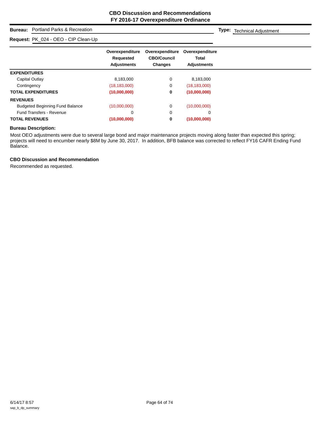## **Bureau:** Portland Parks & Recreation

#### **Request:** PK\_024 - OEO - CIP Clean-Up

**Type:** Technical Adjustment

|                                        | Overexpenditure<br>Requested<br><b>Adjustments</b> | Overexpenditure<br><b>CBO/Council</b><br><b>Changes</b> | Overexpenditure<br><b>Total</b><br><b>Adjustments</b> |
|----------------------------------------|----------------------------------------------------|---------------------------------------------------------|-------------------------------------------------------|
| <b>EXPENDITURES</b>                    |                                                    |                                                         |                                                       |
| Capital Outlay                         | 8,183,000                                          | 0                                                       | 8,183,000                                             |
| Contingency                            | (18, 183, 000)                                     | 0                                                       | (18, 183, 000)                                        |
| <b>TOTAL EXPENDITURES</b>              | (10,000,000)                                       | 0                                                       | (10,000,000)                                          |
| <b>REVENUES</b>                        |                                                    |                                                         |                                                       |
| <b>Budgeted Beginning Fund Balance</b> | (10,000,000)                                       | 0                                                       | (10,000,000)                                          |
| <b>Fund Transfers - Revenue</b>        | 0                                                  | $\mathbf 0$                                             | 0                                                     |
| <b>TOTAL REVENUES</b>                  | (10,000,000)                                       | 0                                                       | (10,000,000)                                          |

#### **Bureau Description:**

Most OEO adjustments were due to several large bond and major maintenance projects moving along faster than expected this spring; projects will need to encumber nearly \$8M by June 30, 2017. In addition, BFB balance was corrected to reflect FY16 CAFR Ending Fund Balance.

#### **CBO Discussion and Recommendation**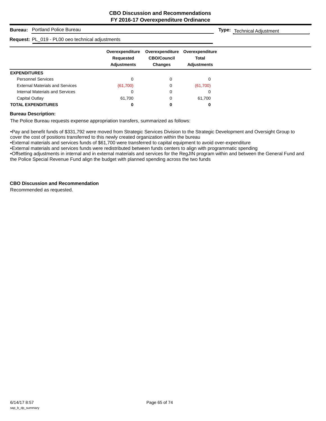## **Bureau:** Portland Police Bureau

#### **Request:** PL\_019 - PL00 oeo technical adjustments

**Type:** Technical Adjustment

| . .                                    |                                                    |                                                         |                                                       |
|----------------------------------------|----------------------------------------------------|---------------------------------------------------------|-------------------------------------------------------|
|                                        | Overexpenditure<br>Requested<br><b>Adjustments</b> | Overexpenditure<br><b>CBO/Council</b><br><b>Changes</b> | Overexpenditure<br><b>Total</b><br><b>Adjustments</b> |
| <b>EXPENDITURES</b>                    |                                                    |                                                         |                                                       |
| <b>Personnel Services</b>              | 0                                                  | 0                                                       | $\Omega$                                              |
| <b>External Materials and Services</b> | (61,700)                                           | 0                                                       | (61,700)                                              |
| Internal Materials and Services        | 0                                                  | 0                                                       |                                                       |
| Capital Outlay                         | 61,700                                             | 0                                                       | 61,700                                                |
| <b>TOTAL EXPENDITURES</b>              | 0                                                  | 0                                                       | 0                                                     |

#### **Bureau Description:**

The Police Bureau requests expense appropriation transfers, summarized as follows:

•Pay and benefit funds of \$331,792 were moved from Strategic Services Division to the Strategic Development and Oversight Group to cover the cost of positions transferred to this newly created organization within the bureau

•External materials and services funds of \$61,700 were transferred to capital equipment to avoid over-expenditure

•External materials and services funds were redistributed between funds centers to align with programmatic spending

•Offsetting adjustments in internal and in external materials and services for the RegJIN program within and between the General Fund and the Police Special Revenue Fund align the budget with planned spending across the two funds

#### **CBO Discussion and Recommendation**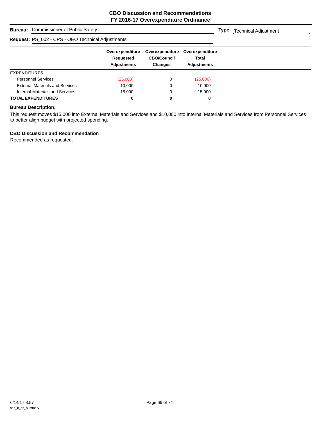**Type:** Technical Adjustment

## **Bureau:** Commissioner of Public Safety

| Request: PS_002 - CPS - OEO Technical Adjustments |                                                    |                                                         |                                                |  |  |  |  |
|---------------------------------------------------|----------------------------------------------------|---------------------------------------------------------|------------------------------------------------|--|--|--|--|
|                                                   | Overexpenditure<br>Requested<br><b>Adjustments</b> | Overexpenditure<br><b>CBO/Council</b><br><b>Changes</b> | Overexpenditure<br>Total<br><b>Adjustments</b> |  |  |  |  |
| <b>EXPENDITURES</b>                               |                                                    |                                                         |                                                |  |  |  |  |
| <b>Personnel Services</b>                         | (25,000)                                           | 0                                                       | (25,000)                                       |  |  |  |  |
| <b>External Materials and Services</b>            | 10,000                                             | 0                                                       | 10,000                                         |  |  |  |  |
| Internal Materials and Services                   | 15.000                                             | 0                                                       | 15,000                                         |  |  |  |  |
| <b>TOTAL EXPENDITURES</b>                         | 0                                                  | 0                                                       |                                                |  |  |  |  |

#### **Bureau Description:**

This request moves \$15,000 into External Materials and Services and \$10,000 into Internal Materials and Services from Personnel Services to better align budget with projected spending.

#### **CBO Discussion and Recommendation**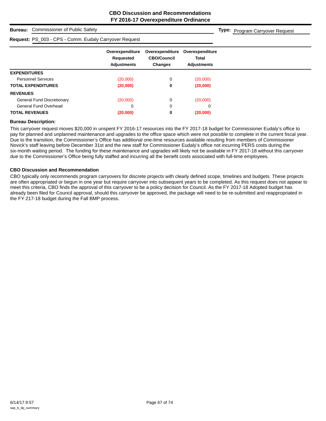**Type:** Program Carryover Request

## **Bureau:** Commissioner of Public Safety

#### **Request:** PS\_003 - CPS - Comm. Eudaly Carryover Request

| Request: PS_003 - CPS - Comm. Eudaly Carryover Request |                                                    |                                                         |                                                       |  |
|--------------------------------------------------------|----------------------------------------------------|---------------------------------------------------------|-------------------------------------------------------|--|
|                                                        | Overexpenditure<br>Requested<br><b>Adjustments</b> | Overexpenditure<br><b>CBO/Council</b><br><b>Changes</b> | Overexpenditure<br><b>Total</b><br><b>Adjustments</b> |  |
| <b>EXPENDITURES</b>                                    |                                                    |                                                         |                                                       |  |
| <b>Personnel Services</b>                              | (20,000)                                           | 0                                                       | (20,000)                                              |  |
| <b>TOTAL EXPENDITURES</b>                              | (20,000)                                           | 0                                                       | (20,000)                                              |  |
| <b>REVENUES</b>                                        |                                                    |                                                         |                                                       |  |
| <b>General Fund Discretionary</b>                      | (20,000)                                           | 0                                                       | (20,000)                                              |  |
| General Fund Overhead                                  | 0                                                  | 0                                                       |                                                       |  |
| <b>TOTAL REVENUES</b>                                  | (20,000)                                           | 0                                                       | (20,000)                                              |  |

#### **Bureau Description:**

This carryover request moves \$20,000 in unspent FY 2016-17 resources into the FY 2017-18 budget for Commissioner Eudaly's office to pay for planned and unplanned maintenance and upgrades to the office space which were not possible to complete in the current fiscal year. Due to the transition, the Commissioner's Office has additional one-time resources available resulting from members of Commissioner Novick's staff leaving before December 31st and the new staff for Commissioner Eudaly's office not incurring PERS costs during the six-month waiting period. The funding for these maintenance and upgrades will likely not be available in FY 2017-18 without this carryover due to the Commissioner's Office being fully staffed and incurring all the benefit costs associated with full-time employees.

#### **CBO Discussion and Recommendation**

CBO typically only recommends program carryovers for discrete projects with clearly defined scope, timelines and budgets. These projects are often appropriated or begun in one year but require carryover into subsequent years to be completed. As this request does not appear to meet this criteria, CBO finds the approval of this carryover to be a policy decision for Council. As the FY 2017-18 Adopted budget has already been filed for Council approval, should this carryover be approved, the package will need to be re-submitted and reappropriated in the FY 217-18 budget during the Fall BMP process.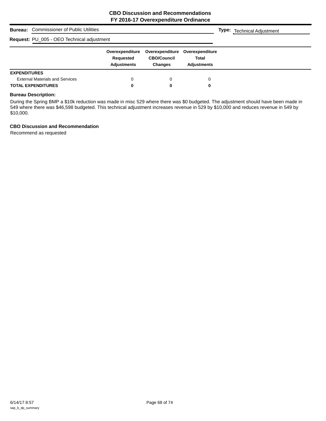| <b>Commissioner of Public Utilities</b><br>Bureau: | <b>Type:</b> Technical Adjustment                  |                                                         |                                                |  |
|----------------------------------------------------|----------------------------------------------------|---------------------------------------------------------|------------------------------------------------|--|
| Request: PU_005 - OEO Technical adjustment         |                                                    |                                                         |                                                |  |
|                                                    | Overexpenditure<br>Requested<br><b>Adjustments</b> | Overexpenditure<br><b>CBO/Council</b><br><b>Changes</b> | Overexpenditure<br>Total<br><b>Adjustments</b> |  |
| <b>EXPENDITURES</b>                                |                                                    |                                                         |                                                |  |
| <b>External Materials and Services</b>             | 0                                                  |                                                         |                                                |  |
| <b>TOTAL EXPENDITURES</b>                          | 0                                                  |                                                         | 0                                              |  |

## **Bureau Description:**

During the Spring BMP a \$10k reduction was made in misc 529 where there was \$0 budgeted. The adjustment should have been made in 549 where there was \$46,598 budgeted. This technical adjustment increases revenue in 529 by \$10,000 and reduces revenue in 549 by \$10,000.

#### **CBO Discussion and Recommendation**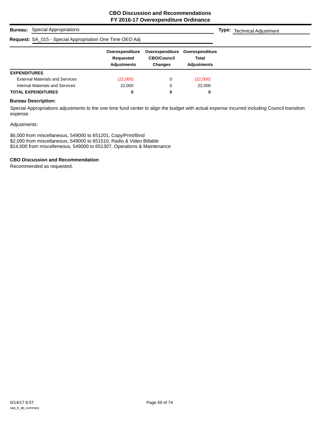|                     | <b>Bureau:</b> Special Appropriations                    |                                                    |                                                         |                                                | <b>Type:</b> Technical Adjustment |
|---------------------|----------------------------------------------------------|----------------------------------------------------|---------------------------------------------------------|------------------------------------------------|-----------------------------------|
|                     | Request: SA_015 - Special Appropriation One Time OEO Adj |                                                    |                                                         |                                                |                                   |
|                     |                                                          | Overexpenditure<br>Requested<br><b>Adjustments</b> | Overexpenditure<br><b>CBO/Council</b><br><b>Changes</b> | Overexpenditure<br>Total<br><b>Adiustments</b> |                                   |
| <b>EXPENDITURES</b> |                                                          |                                                    |                                                         |                                                |                                   |
|                     | <b>External Materials and Services</b>                   | (22,000)                                           | 0                                                       | (22,000)                                       |                                   |
|                     | Internal Materials and Services                          | 22,000                                             | 0                                                       | 22,000                                         |                                   |
|                     | <b>TOTAL EXPENDITURES</b>                                | 0                                                  | 0                                                       | 0                                              |                                   |

## **Bureau Description:**

Special Appropriations adjustments to the one time fund center to align the budget with actual expense incurred including Council transition expense.

#### Adjustments:

\$6,000 from miscellaneous, 549000 to 651201, Copy/Print/Bind \$2,000 from miscellaneous, 549000 to 651510, Radio & Video Billable \$14,000 from miscelleneous, 549000 to 651307, Operations & Maintenance

#### **CBO Discussion and Recommendation**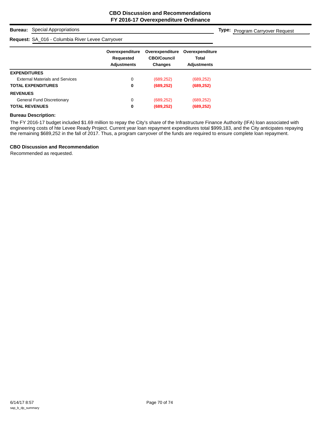## **Bureau:** Special Appropriations

#### **Request:** SA\_016 - Columbia River Levee Carryover

**Type:** Program Carryover Request

|                                        | Overexpenditure | Overexpenditure    | Overexpenditure    |
|----------------------------------------|-----------------|--------------------|--------------------|
|                                        | Requested       | <b>CBO/Council</b> | <b>Total</b>       |
|                                        | Adjustments     | <b>Changes</b>     | <b>Adjustments</b> |
| <b>EXPENDITURES</b>                    |                 |                    |                    |
| <b>External Materials and Services</b> | 0               | (689, 252)         | (689, 252)         |
| <b>TOTAL EXPENDITURES</b>              | 0               | (689, 252)         | (689, 252)         |
| <b>REVENUES</b>                        |                 |                    |                    |
| <b>General Fund Discretionary</b>      | 0               | (689, 252)         | (689, 252)         |
| <b>TOTAL REVENUES</b>                  | 0               | (689, 252)         | (689, 252)         |

#### **Bureau Description:**

The FY 2016-17 budget included \$1.69 million to repay the City's share of the Infrastructure Finance Authority (IFA) loan associated with engineering costs of hte Levee Ready Project. Current year loan repayment expenditures total \$999,183, and the City anticipates repaying the remaining \$689,252 in the fall of 2017. Thus, a program carryover of the funds are required to ensure complete loan repayment.

#### **CBO Discussion and Recommendation**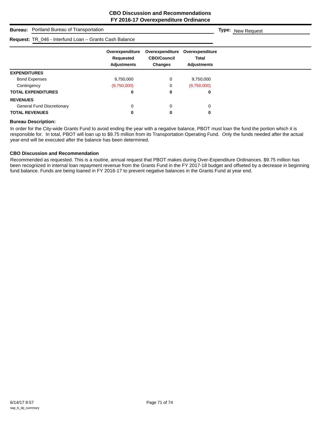| <b>Bureau:</b> Portland Bureau of Transportation       | <b>Type:</b> New Request                           |                                                         |                                                       |  |
|--------------------------------------------------------|----------------------------------------------------|---------------------------------------------------------|-------------------------------------------------------|--|
| Request: TR_046 - Interfund Loan - Grants Cash Balance |                                                    |                                                         |                                                       |  |
|                                                        | Overexpenditure<br>Requested<br><b>Adjustments</b> | Overexpenditure<br><b>CBO/Council</b><br><b>Changes</b> | Overexpenditure<br><b>Total</b><br><b>Adjustments</b> |  |
| <b>EXPENDITURES</b>                                    |                                                    |                                                         |                                                       |  |
| <b>Bond Expenses</b>                                   | 9,750,000                                          | 0                                                       | 9,750,000                                             |  |
| Contingency                                            | (9,750,000)                                        | 0                                                       | (9,750,000)                                           |  |
| <b>TOTAL EXPENDITURES</b>                              | 0                                                  | 0                                                       | 0                                                     |  |
| <b>REVENUES</b>                                        |                                                    |                                                         |                                                       |  |
| <b>General Fund Discretionary</b>                      | 0                                                  | 0                                                       | 0                                                     |  |
| <b>TOTAL REVENUES</b>                                  | 0                                                  | 0                                                       | 0                                                     |  |

#### **Bureau Description:**

In order for the City-wide Grants Fund to avoid ending the year with a negative balance, PBOT must loan the fund the portion which it is responsible for. In total, PBOT will loan up to \$9.75 million from its Transportation Operating Fund. Only the funds needed after the actual year-end will be executed after the balance has been determined.

#### **CBO Discussion and Recommendation**

Recommended as requested. This is a routine, annual request that PBOT makes during Over-Expenditure Ordinances. \$9.75 million has been recognized in internal loan repayment revenue from the Grants Fund in the FY 2017-18 budget and offseted by a decrease in beginning fund balance. Funds are being loaned in FY 2016-17 to prevent negative balances in the Grants Fund at year end.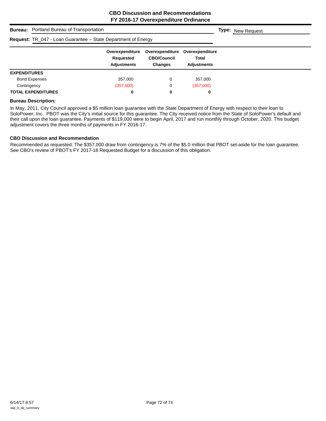|                     | <b>Bureau:</b> Portland Bureau of Transportation              |                                                    |                                                         |                                                       | <b>Type:</b> New Request |
|---------------------|---------------------------------------------------------------|----------------------------------------------------|---------------------------------------------------------|-------------------------------------------------------|--------------------------|
|                     | Request: TR_047 - Loan Guarantee - State Department of Energy |                                                    |                                                         |                                                       |                          |
|                     |                                                               | Overexpenditure<br>Requested<br><b>Adjustments</b> | Overexpenditure<br><b>CBO/Council</b><br><b>Changes</b> | Overexpenditure<br><b>Total</b><br><b>Adjustments</b> |                          |
| <b>EXPENDITURES</b> |                                                               |                                                    |                                                         |                                                       |                          |
|                     | <b>Bond Expenses</b>                                          | 357,000                                            | 0                                                       | 357.000                                               |                          |
| Contingency         |                                                               | (357,000)                                          | 0                                                       | (357,000)                                             |                          |
|                     | <b>TOTAL EXPENDITURES</b>                                     | 0                                                  | 0                                                       | 0                                                     |                          |

#### **Bureau Description:**

In May, 2011, City Council approved a \$5 million loan guarantee with the State Department of Energy with respect to their loan to SoloPower, Inc. PBOT was the City's initial source for this guarantee. The City received notice from the State of SoloPower's default and their call upon the loan guarantee. Payments of \$119,000 were to begin April, 2017 and run monthly through October, 2020. This budget adjustment covers the three months of payments in FY 2016-17.

## **CBO Discussion and Recommendation**

Recommended as requested. The \$357,000 draw from contingency is 7% of the \$5.0 million that PBOT set-aside for the loan guarantee. See CBO's review of PBOT's FY 2017-18 Requested Budget for a discussion of this obligation.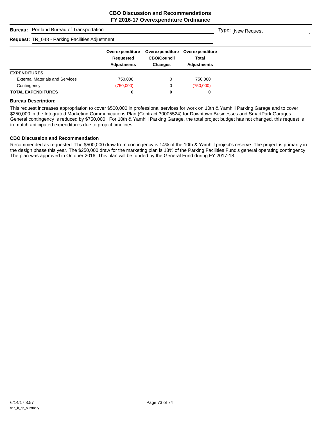| <b>Bureau:</b> Portland Bureau of Transportation       |                                                    |                                                  |                                                       | <b>Type:</b> New Request |
|--------------------------------------------------------|----------------------------------------------------|--------------------------------------------------|-------------------------------------------------------|--------------------------|
| <b>Request: TR_048 - Parking Facilities Adjustment</b> |                                                    |                                                  |                                                       |                          |
|                                                        | Overexpenditure<br>Requested<br><b>Adjustments</b> | Overexpenditure<br><b>CBO/Council</b><br>Changes | Overexpenditure<br><b>Total</b><br><b>Adjustments</b> |                          |
| <b>EXPENDITURES</b>                                    |                                                    |                                                  |                                                       |                          |
| <b>External Materials and Services</b>                 | 750.000                                            | 0                                                | 750,000                                               |                          |
| Contingency                                            | (750,000)                                          | 0                                                | (750,000)                                             |                          |
| <b>TOTAL EXPENDITURES</b>                              | 0                                                  | 0                                                | 0                                                     |                          |

#### **Bureau Description:**

This request increases appropriation to cover \$500,000 in professional services for work on 10th & Yamhill Parking Garage and to cover \$250,000 in the Integrated Marketing Communications Plan (Contract 30005524) for Downtown Businesses and SmartPark Garages. General contingency is reduced by \$750,000. For 10th & Yamhill Parking Garage, the total project budget has not changed, this request is to match anticipated expenditures due to project timelines.

## **CBO Discussion and Recommendation**

Recommended as requested. The \$500,000 draw from contingency is 14% of the 10th & Yamhill project's reserve. The project is primarily in the design phase this year. The \$250,000 draw for the marketing plan is 13% of the Parking Facilities Fund's general operating contingency. The plan was approved in October 2016. This plan will be funded by the General Fund during FY 2017-18.